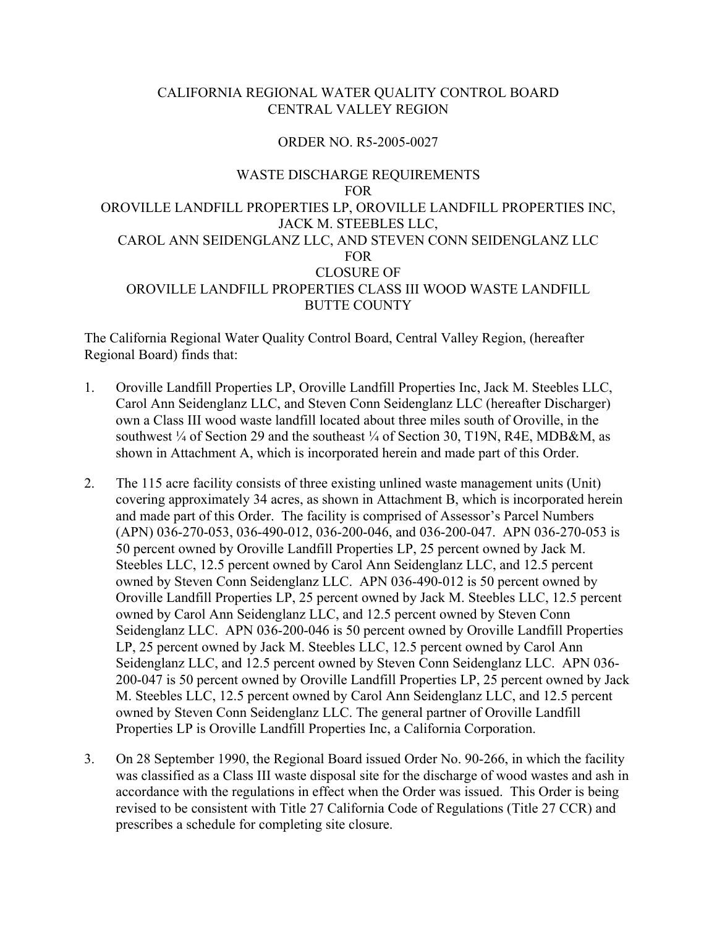# CALIFORNIA REGIONAL WATER QUALITY CONTROL BOARD CENTRAL VALLEY REGION

## ORDER NO. R5-2005-0027

# WASTE DISCHARGE REQUIREMENTS FOR OROVILLE LANDFILL PROPERTIES LP, OROVILLE LANDFILL PROPERTIES INC, JACK M. STEEBLES LLC, CAROL ANN SEIDENGLANZ LLC, AND STEVEN CONN SEIDENGLANZ LLC FOR CLOSURE OF OROVILLE LANDFILL PROPERTIES CLASS III WOOD WASTE LANDFILL BUTTE COUNTY

The California Regional Water Quality Control Board, Central Valley Region, (hereafter Regional Board) finds that:

- 1. Oroville Landfill Properties LP, Oroville Landfill Properties Inc, Jack M. Steebles LLC, Carol Ann Seidenglanz LLC, and Steven Conn Seidenglanz LLC (hereafter Discharger) own a Class III wood waste landfill located about three miles south of Oroville, in the southwest ¼ of Section 29 and the southeast ¼ of Section 30, T19N, R4E, MDB&M, as shown in Attachment A, which is incorporated herein and made part of this Order.
- 2. The 115 acre facility consists of three existing unlined waste management units (Unit) covering approximately 34 acres, as shown in Attachment B, which is incorporated herein and made part of this Order. The facility is comprised of Assessor's Parcel Numbers (APN) 036-270-053, 036-490-012, 036-200-046, and 036-200-047. APN 036-270-053 is 50 percent owned by Oroville Landfill Properties LP, 25 percent owned by Jack M. Steebles LLC, 12.5 percent owned by Carol Ann Seidenglanz LLC, and 12.5 percent owned by Steven Conn Seidenglanz LLC. APN 036-490-012 is 50 percent owned by Oroville Landfill Properties LP, 25 percent owned by Jack M. Steebles LLC, 12.5 percent owned by Carol Ann Seidenglanz LLC, and 12.5 percent owned by Steven Conn Seidenglanz LLC. APN 036-200-046 is 50 percent owned by Oroville Landfill Properties LP, 25 percent owned by Jack M. Steebles LLC, 12.5 percent owned by Carol Ann Seidenglanz LLC, and 12.5 percent owned by Steven Conn Seidenglanz LLC. APN 036- 200-047 is 50 percent owned by Oroville Landfill Properties LP, 25 percent owned by Jack M. Steebles LLC, 12.5 percent owned by Carol Ann Seidenglanz LLC, and 12.5 percent owned by Steven Conn Seidenglanz LLC. The general partner of Oroville Landfill Properties LP is Oroville Landfill Properties Inc, a California Corporation.
- 3. On 28 September 1990, the Regional Board issued Order No. 90-266, in which the facility was classified as a Class III waste disposal site for the discharge of wood wastes and ash in accordance with the regulations in effect when the Order was issued. This Order is being revised to be consistent with Title 27 California Code of Regulations (Title 27 CCR) and prescribes a schedule for completing site closure.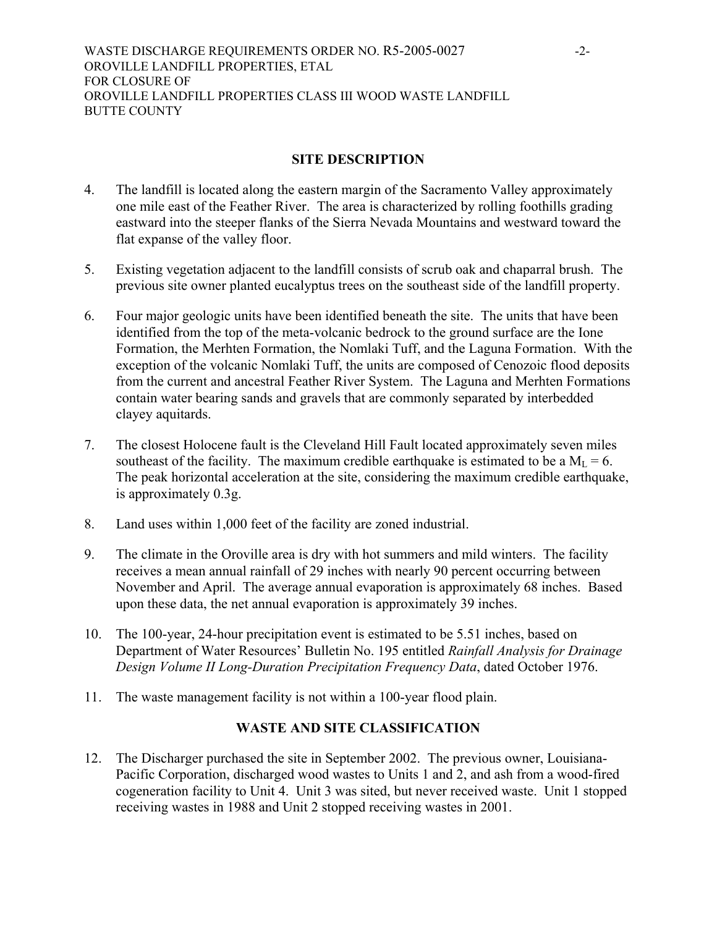# **SITE DESCRIPTION**

- 4. The landfill is located along the eastern margin of the Sacramento Valley approximately one mile east of the Feather River. The area is characterized by rolling foothills grading eastward into the steeper flanks of the Sierra Nevada Mountains and westward toward the flat expanse of the valley floor.
- 5. Existing vegetation adjacent to the landfill consists of scrub oak and chaparral brush. The previous site owner planted eucalyptus trees on the southeast side of the landfill property.
- 6. Four major geologic units have been identified beneath the site. The units that have been identified from the top of the meta-volcanic bedrock to the ground surface are the Ione Formation, the Merhten Formation, the Nomlaki Tuff, and the Laguna Formation. With the exception of the volcanic Nomlaki Tuff, the units are composed of Cenozoic flood deposits from the current and ancestral Feather River System. The Laguna and Merhten Formations contain water bearing sands and gravels that are commonly separated by interbedded clayey aquitards.
- 7. The closest Holocene fault is the Cleveland Hill Fault located approximately seven miles southeast of the facility. The maximum credible earthquake is estimated to be a  $M_L = 6$ . The peak horizontal acceleration at the site, considering the maximum credible earthquake, is approximately 0.3g.
- 8. Land uses within 1,000 feet of the facility are zoned industrial.
- 9. The climate in the Oroville area is dry with hot summers and mild winters. The facility receives a mean annual rainfall of 29 inches with nearly 90 percent occurring between November and April. The average annual evaporation is approximately 68 inches. Based upon these data, the net annual evaporation is approximately 39 inches.
- 10. The 100-year, 24-hour precipitation event is estimated to be 5.51 inches, based on Department of Water Resources' Bulletin No. 195 entitled *Rainfall Analysis for Drainage Design Volume II Long-Duration Precipitation Frequency Data*, dated October 1976.
- 11. The waste management facility is not within a 100-year flood plain.

# **WASTE AND SITE CLASSIFICATION**

12. The Discharger purchased the site in September 2002. The previous owner, Louisiana-Pacific Corporation, discharged wood wastes to Units 1 and 2, and ash from a wood-fired cogeneration facility to Unit 4. Unit 3 was sited, but never received waste. Unit 1 stopped receiving wastes in 1988 and Unit 2 stopped receiving wastes in 2001.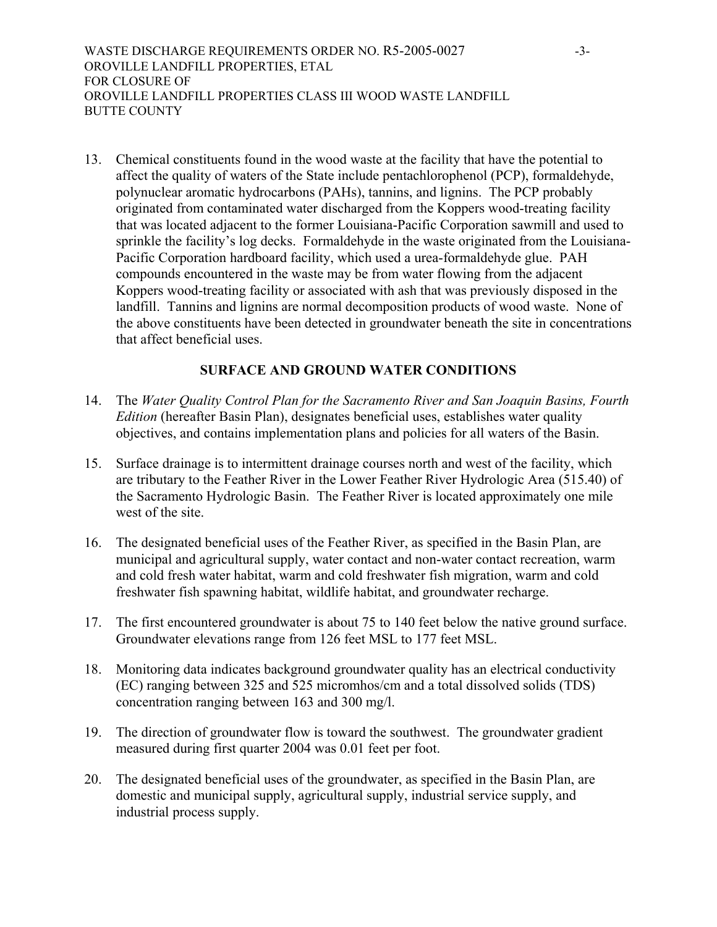WASTE DISCHARGE REQUIREMENTS ORDER NO. R5-2005-0027 -3-OROVILLE LANDFILL PROPERTIES, ETAL FOR CLOSURE OF OROVILLE LANDFILL PROPERTIES CLASS III WOOD WASTE LANDFILL BUTTE COUNTY

13. Chemical constituents found in the wood waste at the facility that have the potential to affect the quality of waters of the State include pentachlorophenol (PCP), formaldehyde, polynuclear aromatic hydrocarbons (PAHs), tannins, and lignins. The PCP probably originated from contaminated water discharged from the Koppers wood-treating facility that was located adjacent to the former Louisiana-Pacific Corporation sawmill and used to sprinkle the facility's log decks. Formaldehyde in the waste originated from the Louisiana-Pacific Corporation hardboard facility, which used a urea-formaldehyde glue. PAH compounds encountered in the waste may be from water flowing from the adjacent Koppers wood-treating facility or associated with ash that was previously disposed in the landfill. Tannins and lignins are normal decomposition products of wood waste. None of the above constituents have been detected in groundwater beneath the site in concentrations that affect beneficial uses.

# **SURFACE AND GROUND WATER CONDITIONS**

- 14. The *Water Quality Control Plan for the Sacramento River and San Joaquin Basins, Fourth Edition* (hereafter Basin Plan), designates beneficial uses, establishes water quality objectives, and contains implementation plans and policies for all waters of the Basin.
- 15. Surface drainage is to intermittent drainage courses north and west of the facility, which are tributary to the Feather River in the Lower Feather River Hydrologic Area (515.40) of the Sacramento Hydrologic Basin. The Feather River is located approximately one mile west of the site.
- 16. The designated beneficial uses of the Feather River, as specified in the Basin Plan, are municipal and agricultural supply, water contact and non-water contact recreation, warm and cold fresh water habitat, warm and cold freshwater fish migration, warm and cold freshwater fish spawning habitat, wildlife habitat, and groundwater recharge.
- 17. The first encountered groundwater is about 75 to 140 feet below the native ground surface. Groundwater elevations range from 126 feet MSL to 177 feet MSL.
- 18. Monitoring data indicates background groundwater quality has an electrical conductivity (EC) ranging between 325 and 525 micromhos/cm and a total dissolved solids (TDS) concentration ranging between 163 and 300 mg/l.
- 19. The direction of groundwater flow is toward the southwest. The groundwater gradient measured during first quarter 2004 was 0.01 feet per foot.
- 20. The designated beneficial uses of the groundwater, as specified in the Basin Plan, are domestic and municipal supply, agricultural supply, industrial service supply, and industrial process supply.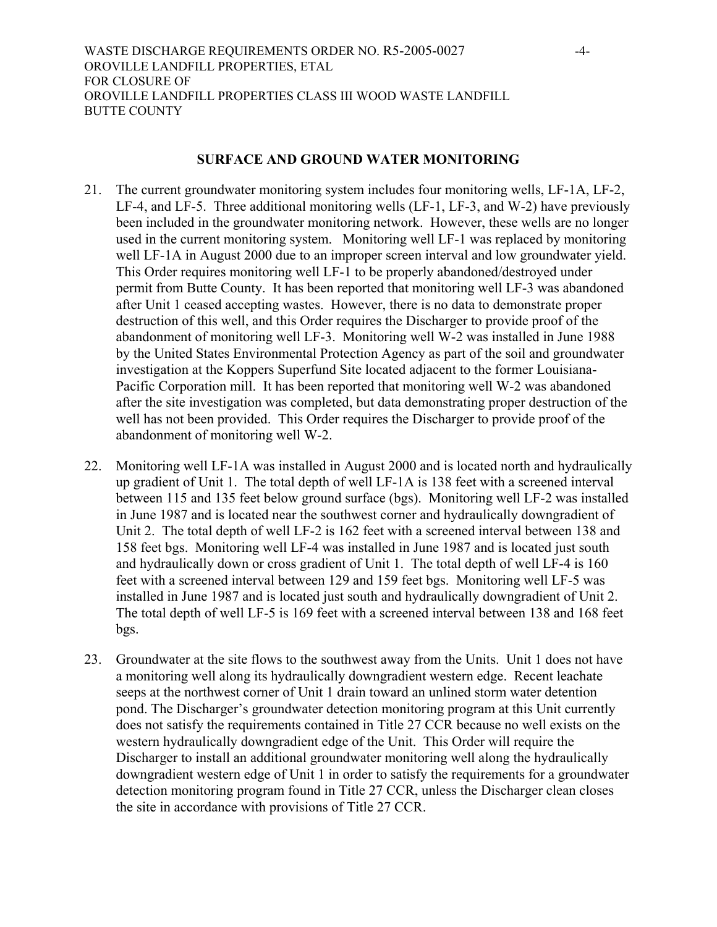WASTE DISCHARGE REQUIREMENTS ORDER NO. R5-2005-0027 -4-OROVILLE LANDFILL PROPERTIES, ETAL FOR CLOSURE OF OROVILLE LANDFILL PROPERTIES CLASS III WOOD WASTE LANDFILL BUTTE COUNTY

## **SURFACE AND GROUND WATER MONITORING**

- 21. The current groundwater monitoring system includes four monitoring wells, LF-1A, LF-2, LF-4, and LF-5. Three additional monitoring wells (LF-1, LF-3, and W-2) have previously been included in the groundwater monitoring network. However, these wells are no longer used in the current monitoring system. Monitoring well LF-1 was replaced by monitoring well LF-1A in August 2000 due to an improper screen interval and low groundwater yield. This Order requires monitoring well LF-1 to be properly abandoned/destroyed under permit from Butte County. It has been reported that monitoring well LF-3 was abandoned after Unit 1 ceased accepting wastes. However, there is no data to demonstrate proper destruction of this well, and this Order requires the Discharger to provide proof of the abandonment of monitoring well LF-3. Monitoring well W-2 was installed in June 1988 by the United States Environmental Protection Agency as part of the soil and groundwater investigation at the Koppers Superfund Site located adjacent to the former Louisiana-Pacific Corporation mill. It has been reported that monitoring well W-2 was abandoned after the site investigation was completed, but data demonstrating proper destruction of the well has not been provided. This Order requires the Discharger to provide proof of the abandonment of monitoring well W-2.
- 22. Monitoring well LF-1A was installed in August 2000 and is located north and hydraulically up gradient of Unit 1. The total depth of well LF-1A is 138 feet with a screened interval between 115 and 135 feet below ground surface (bgs). Monitoring well LF-2 was installed in June 1987 and is located near the southwest corner and hydraulically downgradient of Unit 2. The total depth of well LF-2 is 162 feet with a screened interval between 138 and 158 feet bgs. Monitoring well LF-4 was installed in June 1987 and is located just south and hydraulically down or cross gradient of Unit 1. The total depth of well LF-4 is 160 feet with a screened interval between 129 and 159 feet bgs. Monitoring well LF-5 was installed in June 1987 and is located just south and hydraulically downgradient of Unit 2. The total depth of well LF-5 is 169 feet with a screened interval between 138 and 168 feet bgs.
- 23. Groundwater at the site flows to the southwest away from the Units. Unit 1 does not have a monitoring well along its hydraulically downgradient western edge. Recent leachate seeps at the northwest corner of Unit 1 drain toward an unlined storm water detention pond. The Discharger's groundwater detection monitoring program at this Unit currently does not satisfy the requirements contained in Title 27 CCR because no well exists on the western hydraulically downgradient edge of the Unit. This Order will require the Discharger to install an additional groundwater monitoring well along the hydraulically downgradient western edge of Unit 1 in order to satisfy the requirements for a groundwater detection monitoring program found in Title 27 CCR, unless the Discharger clean closes the site in accordance with provisions of Title 27 CCR.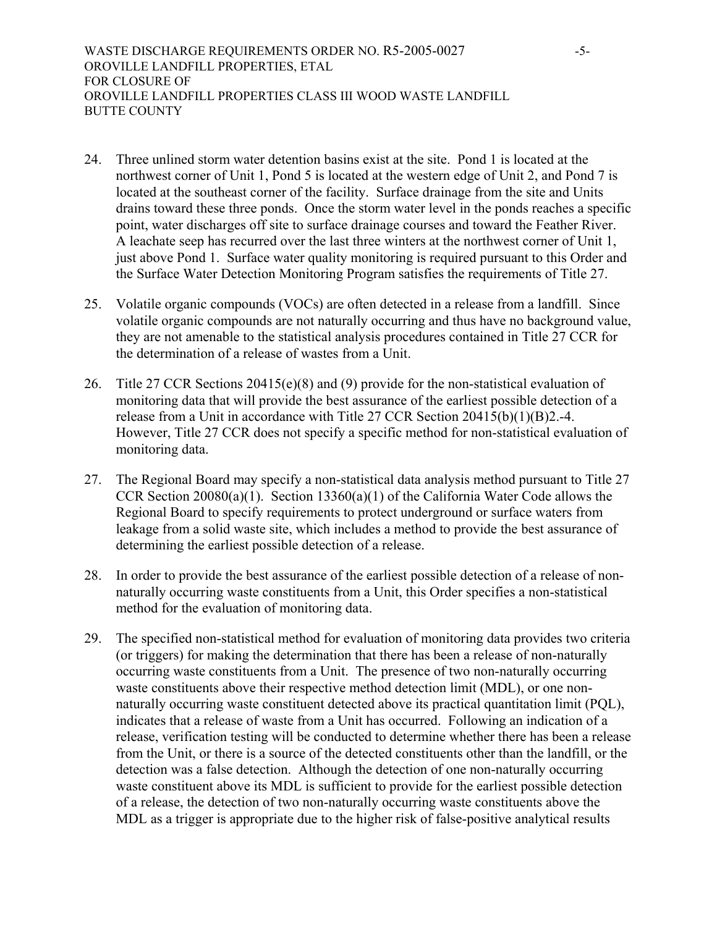WASTE DISCHARGE REQUIREMENTS ORDER NO. R5-2005-0027 -5-OROVILLE LANDFILL PROPERTIES, ETAL FOR CLOSURE OF OROVILLE LANDFILL PROPERTIES CLASS III WOOD WASTE LANDFILL BUTTE COUNTY

- 24. Three unlined storm water detention basins exist at the site. Pond 1 is located at the northwest corner of Unit 1, Pond 5 is located at the western edge of Unit 2, and Pond 7 is located at the southeast corner of the facility. Surface drainage from the site and Units drains toward these three ponds. Once the storm water level in the ponds reaches a specific point, water discharges off site to surface drainage courses and toward the Feather River. A leachate seep has recurred over the last three winters at the northwest corner of Unit 1, just above Pond 1. Surface water quality monitoring is required pursuant to this Order and the Surface Water Detection Monitoring Program satisfies the requirements of Title 27.
- 25. Volatile organic compounds (VOCs) are often detected in a release from a landfill. Since volatile organic compounds are not naturally occurring and thus have no background value, they are not amenable to the statistical analysis procedures contained in Title 27 CCR for the determination of a release of wastes from a Unit.
- 26. Title 27 CCR Sections 20415(e)(8) and (9) provide for the non-statistical evaluation of monitoring data that will provide the best assurance of the earliest possible detection of a release from a Unit in accordance with Title 27 CCR Section 20415(b)(1)(B)2.-4. However, Title 27 CCR does not specify a specific method for non-statistical evaluation of monitoring data.
- 27. The Regional Board may specify a non-statistical data analysis method pursuant to Title 27 CCR Section 20080(a)(1). Section 13360(a)(1) of the California Water Code allows the Regional Board to specify requirements to protect underground or surface waters from leakage from a solid waste site, which includes a method to provide the best assurance of determining the earliest possible detection of a release.
- 28. In order to provide the best assurance of the earliest possible detection of a release of nonnaturally occurring waste constituents from a Unit, this Order specifies a non-statistical method for the evaluation of monitoring data.
- 29. The specified non-statistical method for evaluation of monitoring data provides two criteria (or triggers) for making the determination that there has been a release of non-naturally occurring waste constituents from a Unit. The presence of two non-naturally occurring waste constituents above their respective method detection limit (MDL), or one nonnaturally occurring waste constituent detected above its practical quantitation limit (PQL), indicates that a release of waste from a Unit has occurred. Following an indication of a release, verification testing will be conducted to determine whether there has been a release from the Unit, or there is a source of the detected constituents other than the landfill, or the detection was a false detection. Although the detection of one non-naturally occurring waste constituent above its MDL is sufficient to provide for the earliest possible detection of a release, the detection of two non-naturally occurring waste constituents above the MDL as a trigger is appropriate due to the higher risk of false-positive analytical results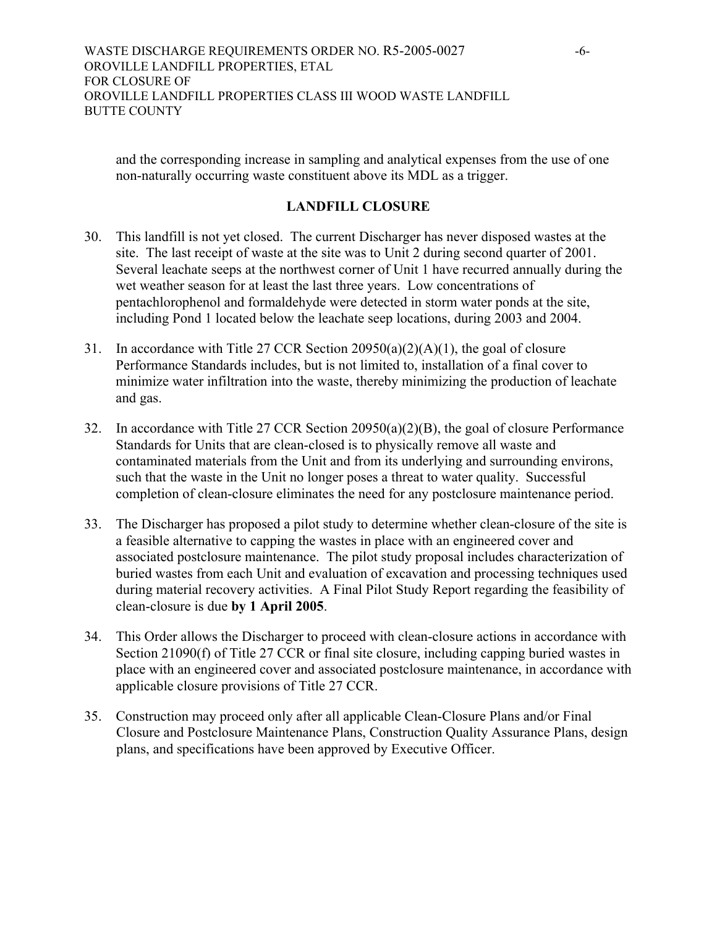and the corresponding increase in sampling and analytical expenses from the use of one non-naturally occurring waste constituent above its MDL as a trigger.

# **LANDFILL CLOSURE**

- 30. This landfill is not yet closed. The current Discharger has never disposed wastes at the site. The last receipt of waste at the site was to Unit 2 during second quarter of 2001. Several leachate seeps at the northwest corner of Unit 1 have recurred annually during the wet weather season for at least the last three years. Low concentrations of pentachlorophenol and formaldehyde were detected in storm water ponds at the site, including Pond 1 located below the leachate seep locations, during 2003 and 2004.
- 31. In accordance with Title 27 CCR Section 20950(a)(2)(A)(1), the goal of closure Performance Standards includes, but is not limited to, installation of a final cover to minimize water infiltration into the waste, thereby minimizing the production of leachate and gas.
- 32. In accordance with Title 27 CCR Section 20950(a)(2)(B), the goal of closure Performance Standards for Units that are clean-closed is to physically remove all waste and contaminated materials from the Unit and from its underlying and surrounding environs, such that the waste in the Unit no longer poses a threat to water quality. Successful completion of clean-closure eliminates the need for any postclosure maintenance period.
- 33. The Discharger has proposed a pilot study to determine whether clean-closure of the site is a feasible alternative to capping the wastes in place with an engineered cover and associated postclosure maintenance. The pilot study proposal includes characterization of buried wastes from each Unit and evaluation of excavation and processing techniques used during material recovery activities. A Final Pilot Study Report regarding the feasibility of clean-closure is due **by 1 April 2005**.
- 34. This Order allows the Discharger to proceed with clean-closure actions in accordance with Section 21090(f) of Title 27 CCR or final site closure, including capping buried wastes in place with an engineered cover and associated postclosure maintenance, in accordance with applicable closure provisions of Title 27 CCR.
- 35. Construction may proceed only after all applicable Clean-Closure Plans and/or Final Closure and Postclosure Maintenance Plans, Construction Quality Assurance Plans, design plans, and specifications have been approved by Executive Officer.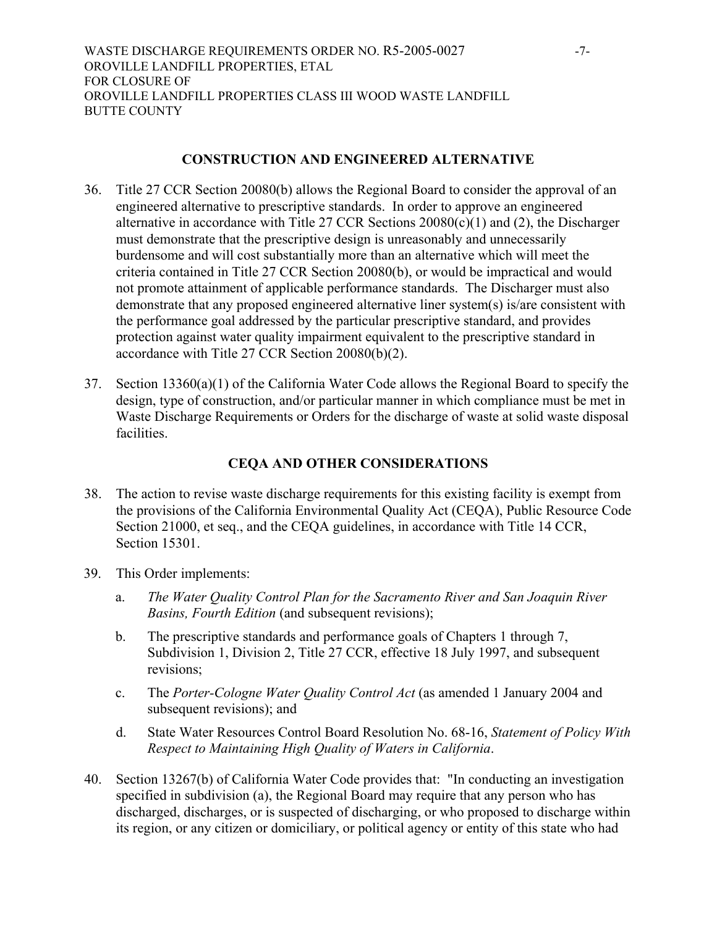# **CONSTRUCTION AND ENGINEERED ALTERNATIVE**

- 36. Title 27 CCR Section 20080(b) allows the Regional Board to consider the approval of an engineered alternative to prescriptive standards. In order to approve an engineered alternative in accordance with Title 27 CCR Sections  $20080(c)(1)$  and (2), the Discharger must demonstrate that the prescriptive design is unreasonably and unnecessarily burdensome and will cost substantially more than an alternative which will meet the criteria contained in Title 27 CCR Section 20080(b), or would be impractical and would not promote attainment of applicable performance standards. The Discharger must also demonstrate that any proposed engineered alternative liner system(s) is/are consistent with the performance goal addressed by the particular prescriptive standard, and provides protection against water quality impairment equivalent to the prescriptive standard in accordance with Title 27 CCR Section 20080(b)(2).
- 37. Section 13360(a)(1) of the California Water Code allows the Regional Board to specify the design, type of construction, and/or particular manner in which compliance must be met in Waste Discharge Requirements or Orders for the discharge of waste at solid waste disposal facilities.

# **CEQA AND OTHER CONSIDERATIONS**

- 38. The action to revise waste discharge requirements for this existing facility is exempt from the provisions of the California Environmental Quality Act (CEQA), Public Resource Code Section 21000, et seq., and the CEQA guidelines, in accordance with Title 14 CCR, Section 15301.
- 39. This Order implements:
	- a. *The Water Quality Control Plan for the Sacramento River and San Joaquin River Basins, Fourth Edition* (and subsequent revisions);
	- b. The prescriptive standards and performance goals of Chapters 1 through 7, Subdivision 1, Division 2, Title 27 CCR, effective 18 July 1997, and subsequent revisions;
	- c. The *Porter-Cologne Water Quality Control Act* (as amended 1 January 2004 and subsequent revisions); and
	- d. State Water Resources Control Board Resolution No. 68-16, *Statement of Policy With Respect to Maintaining High Quality of Waters in California*.
- 40. Section 13267(b) of California Water Code provides that: "In conducting an investigation specified in subdivision (a), the Regional Board may require that any person who has discharged, discharges, or is suspected of discharging, or who proposed to discharge within its region, or any citizen or domiciliary, or political agency or entity of this state who had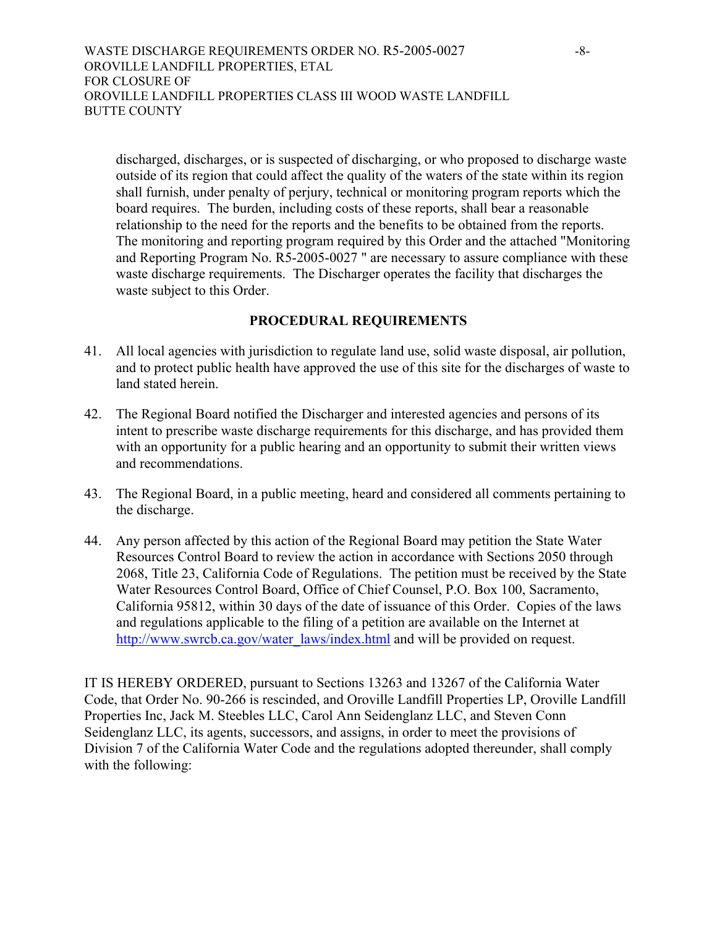WASTE DISCHARGE REQUIREMENTS ORDER NO. R5-2005-0027 -8-OROVILLE LANDFILL PROPERTIES, ETAL FOR CLOSURE OF OROVILLE LANDFILL PROPERTIES CLASS III WOOD WASTE LANDFILL BUTTE COUNTY

discharged, discharges, or is suspected of discharging, or who proposed to discharge waste outside of its region that could affect the quality of the waters of the state within its region shall furnish, under penalty of perjury, technical or monitoring program reports which the board requires. The burden, including costs of these reports, shall bear a reasonable relationship to the need for the reports and the benefits to be obtained from the reports. The monitoring and reporting program required by this Order and the attached "Monitoring and Reporting Program No. R5-2005-0027 " are necessary to assure compliance with these waste discharge requirements. The Discharger operates the facility that discharges the waste subject to this Order.

# **PROCEDURAL REQUIREMENTS**

- 41. All local agencies with jurisdiction to regulate land use, solid waste disposal, air pollution, and to protect public health have approved the use of this site for the discharges of waste to land stated herein.
- 42. The Regional Board notified the Discharger and interested agencies and persons of its intent to prescribe waste discharge requirements for this discharge, and has provided them with an opportunity for a public hearing and an opportunity to submit their written views and recommendations.
- 43. The Regional Board, in a public meeting, heard and considered all comments pertaining to the discharge.
- 44. Any person affected by this action of the Regional Board may petition the State Water Resources Control Board to review the action in accordance with Sections 2050 through 2068, Title 23, California Code of Regulations. The petition must be received by the State Water Resources Control Board, Office of Chief Counsel, P.O. Box 100, Sacramento, California 95812, within 30 days of the date of issuance of this Order. Copies of the laws and regulations applicable to the filing of a petition are available on the Internet at http://www.swrcb.ca.gov/water\_laws/index.html and will be provided on request.

IT IS HEREBY ORDERED, pursuant to Sections 13263 and 13267 of the California Water Code, that Order No. 90-266 is rescinded, and Oroville Landfill Properties LP, Oroville Landfill Properties Inc, Jack M. Steebles LLC, Carol Ann Seidenglanz LLC, and Steven Conn Seidenglanz LLC, its agents, successors, and assigns, in order to meet the provisions of Division 7 of the California Water Code and the regulations adopted thereunder, shall comply with the following: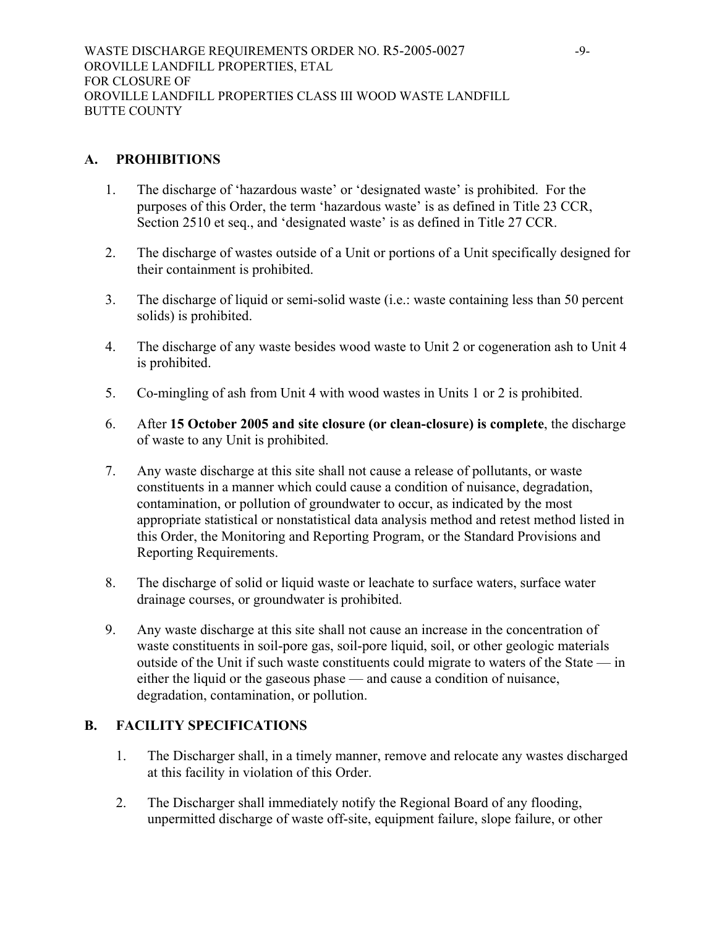# **A. PROHIBITIONS**

- 1. The discharge of 'hazardous waste' or 'designated waste' is prohibited. For the purposes of this Order, the term 'hazardous waste' is as defined in Title 23 CCR, Section 2510 et seq., and 'designated waste' is as defined in Title 27 CCR.
- 2. The discharge of wastes outside of a Unit or portions of a Unit specifically designed for their containment is prohibited.
- 3. The discharge of liquid or semi-solid waste (i.e.: waste containing less than 50 percent solids) is prohibited.
- 4. The discharge of any waste besides wood waste to Unit 2 or cogeneration ash to Unit 4 is prohibited.
- 5. Co-mingling of ash from Unit 4 with wood wastes in Units 1 or 2 is prohibited.
- 6. After **15 October 2005 and site closure (or clean-closure) is complete**, the discharge of waste to any Unit is prohibited.
- 7. Any waste discharge at this site shall not cause a release of pollutants, or waste constituents in a manner which could cause a condition of nuisance, degradation, contamination, or pollution of groundwater to occur, as indicated by the most appropriate statistical or nonstatistical data analysis method and retest method listed in this Order, the Monitoring and Reporting Program, or the Standard Provisions and Reporting Requirements.
- 8. The discharge of solid or liquid waste or leachate to surface waters, surface water drainage courses, or groundwater is prohibited.
- 9. Any waste discharge at this site shall not cause an increase in the concentration of waste constituents in soil-pore gas, soil-pore liquid, soil, or other geologic materials outside of the Unit if such waste constituents could migrate to waters of the State — in either the liquid or the gaseous phase — and cause a condition of nuisance, degradation, contamination, or pollution.

# **B. FACILITY SPECIFICATIONS**

- 1. The Discharger shall, in a timely manner, remove and relocate any wastes discharged at this facility in violation of this Order.
- 2. The Discharger shall immediately notify the Regional Board of any flooding, unpermitted discharge of waste off-site, equipment failure, slope failure, or other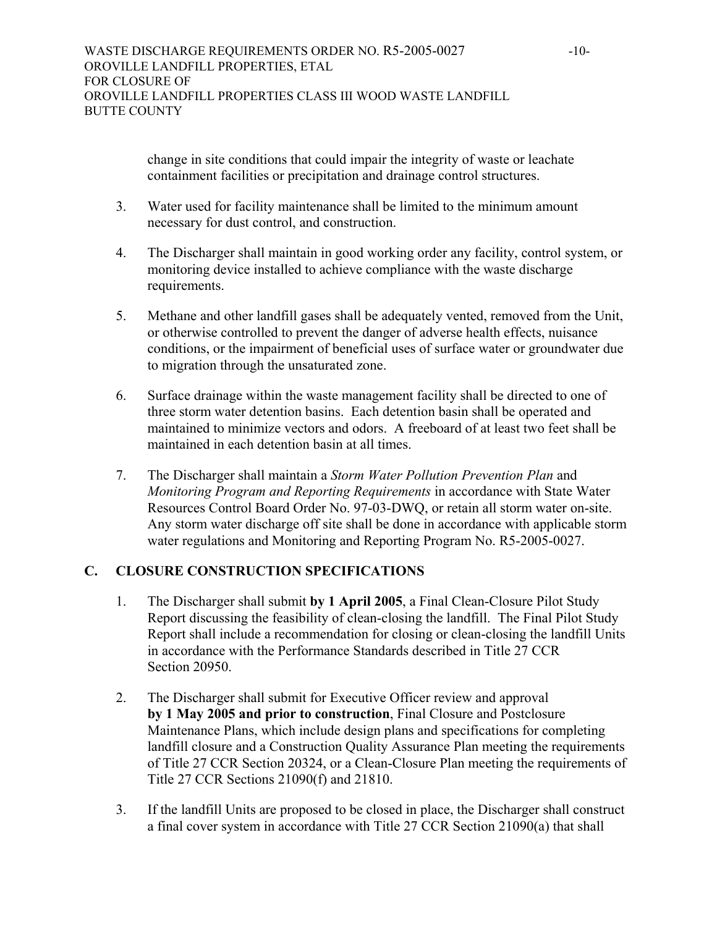change in site conditions that could impair the integrity of waste or leachate containment facilities or precipitation and drainage control structures.

- 3. Water used for facility maintenance shall be limited to the minimum amount necessary for dust control, and construction.
- 4. The Discharger shall maintain in good working order any facility, control system, or monitoring device installed to achieve compliance with the waste discharge requirements.
- 5. Methane and other landfill gases shall be adequately vented, removed from the Unit, or otherwise controlled to prevent the danger of adverse health effects, nuisance conditions, or the impairment of beneficial uses of surface water or groundwater due to migration through the unsaturated zone.
- 6. Surface drainage within the waste management facility shall be directed to one of three storm water detention basins. Each detention basin shall be operated and maintained to minimize vectors and odors. A freeboard of at least two feet shall be maintained in each detention basin at all times.
- 7. The Discharger shall maintain a *Storm Water Pollution Prevention Plan* and *Monitoring Program and Reporting Requirements* in accordance with State Water Resources Control Board Order No. 97-03-DWQ, or retain all storm water on-site. Any storm water discharge off site shall be done in accordance with applicable storm water regulations and Monitoring and Reporting Program No. R5-2005-0027.

# **C. CLOSURE CONSTRUCTION SPECIFICATIONS**

- 1. The Discharger shall submit **by 1 April 2005**, a Final Clean-Closure Pilot Study Report discussing the feasibility of clean-closing the landfill. The Final Pilot Study Report shall include a recommendation for closing or clean-closing the landfill Units in accordance with the Performance Standards described in Title 27 CCR Section 20950.
- 2. The Discharger shall submit for Executive Officer review and approval **by 1 May 2005 and prior to construction**, Final Closure and Postclosure Maintenance Plans, which include design plans and specifications for completing landfill closure and a Construction Quality Assurance Plan meeting the requirements of Title 27 CCR Section 20324, or a Clean-Closure Plan meeting the requirements of Title 27 CCR Sections 21090(f) and 21810.
- 3. If the landfill Units are proposed to be closed in place, the Discharger shall construct a final cover system in accordance with Title 27 CCR Section 21090(a) that shall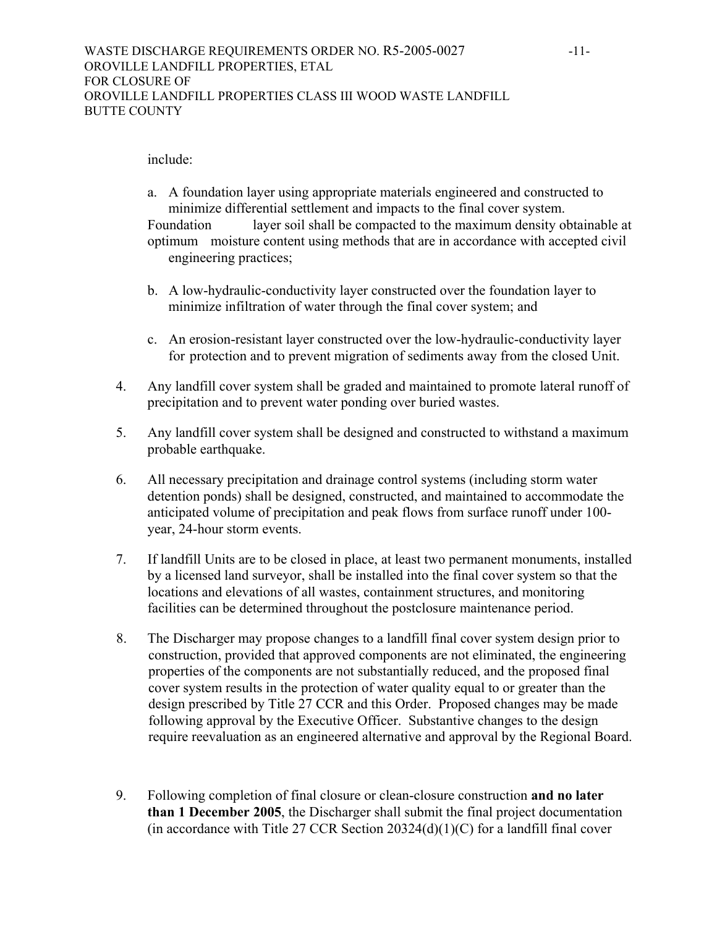include:

a. A foundation layer using appropriate materials engineered and constructed to minimize differential settlement and impacts to the final cover system. Foundation layer soil shall be compacted to the maximum density obtainable at optimum moisture content using methods that are in accordance with accepted civil engineering practices;

- b. A low-hydraulic-conductivity layer constructed over the foundation layer to minimize infiltration of water through the final cover system; and
- c. An erosion-resistant layer constructed over the low-hydraulic-conductivity layer for protection and to prevent migration of sediments away from the closed Unit.
- 4. Any landfill cover system shall be graded and maintained to promote lateral runoff of precipitation and to prevent water ponding over buried wastes.
- 5. Any landfill cover system shall be designed and constructed to withstand a maximum probable earthquake.
- 6. All necessary precipitation and drainage control systems (including storm water detention ponds) shall be designed, constructed, and maintained to accommodate the anticipated volume of precipitation and peak flows from surface runoff under 100 year, 24-hour storm events.
- 7. If landfill Units are to be closed in place, at least two permanent monuments, installed by a licensed land surveyor, shall be installed into the final cover system so that the locations and elevations of all wastes, containment structures, and monitoring facilities can be determined throughout the postclosure maintenance period.
- 8. The Discharger may propose changes to a landfill final cover system design prior to construction, provided that approved components are not eliminated, the engineering properties of the components are not substantially reduced, and the proposed final cover system results in the protection of water quality equal to or greater than the design prescribed by Title 27 CCR and this Order. Proposed changes may be made following approval by the Executive Officer. Substantive changes to the design require reevaluation as an engineered alternative and approval by the Regional Board.
- 9. Following completion of final closure or clean-closure construction **and no later than 1 December 2005**, the Discharger shall submit the final project documentation (in accordance with Title 27 CCR Section  $20324(d)(1)(C)$  for a landfill final cover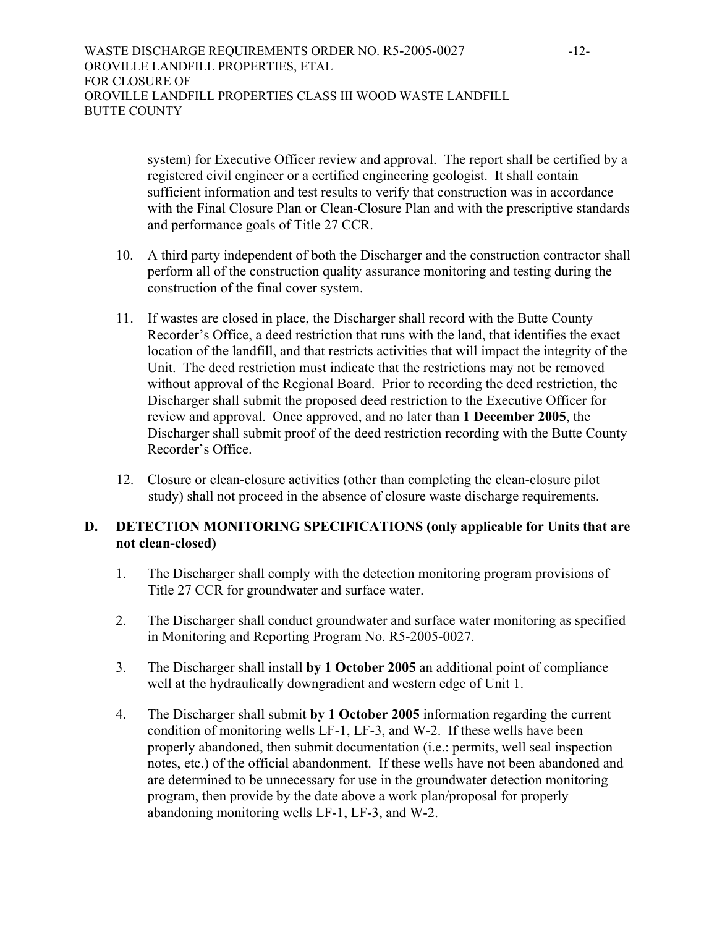system) for Executive Officer review and approval. The report shall be certified by a registered civil engineer or a certified engineering geologist. It shall contain sufficient information and test results to verify that construction was in accordance with the Final Closure Plan or Clean-Closure Plan and with the prescriptive standards and performance goals of Title 27 CCR.

- 10. A third party independent of both the Discharger and the construction contractor shall perform all of the construction quality assurance monitoring and testing during the construction of the final cover system.
- 11. If wastes are closed in place, the Discharger shall record with the Butte County Recorder's Office, a deed restriction that runs with the land, that identifies the exact location of the landfill, and that restricts activities that will impact the integrity of the Unit. The deed restriction must indicate that the restrictions may not be removed without approval of the Regional Board. Prior to recording the deed restriction, the Discharger shall submit the proposed deed restriction to the Executive Officer for review and approval. Once approved, and no later than **1 December 2005**, the Discharger shall submit proof of the deed restriction recording with the Butte County Recorder's Office.
- 12. Closure or clean-closure activities (other than completing the clean-closure pilot study) shall not proceed in the absence of closure waste discharge requirements.

# **D. DETECTION MONITORING SPECIFICATIONS (only applicable for Units that are not clean-closed)**

- 1. The Discharger shall comply with the detection monitoring program provisions of Title 27 CCR for groundwater and surface water.
- 2. The Discharger shall conduct groundwater and surface water monitoring as specified in Monitoring and Reporting Program No. R5-2005-0027.
- 3. The Discharger shall install **by 1 October 2005** an additional point of compliance well at the hydraulically downgradient and western edge of Unit 1.
- 4. The Discharger shall submit **by 1 October 2005** information regarding the current condition of monitoring wells LF-1, LF-3, and W-2. If these wells have been properly abandoned, then submit documentation (i.e.: permits, well seal inspection notes, etc.) of the official abandonment. If these wells have not been abandoned and are determined to be unnecessary for use in the groundwater detection monitoring program, then provide by the date above a work plan/proposal for properly abandoning monitoring wells LF-1, LF-3, and W-2.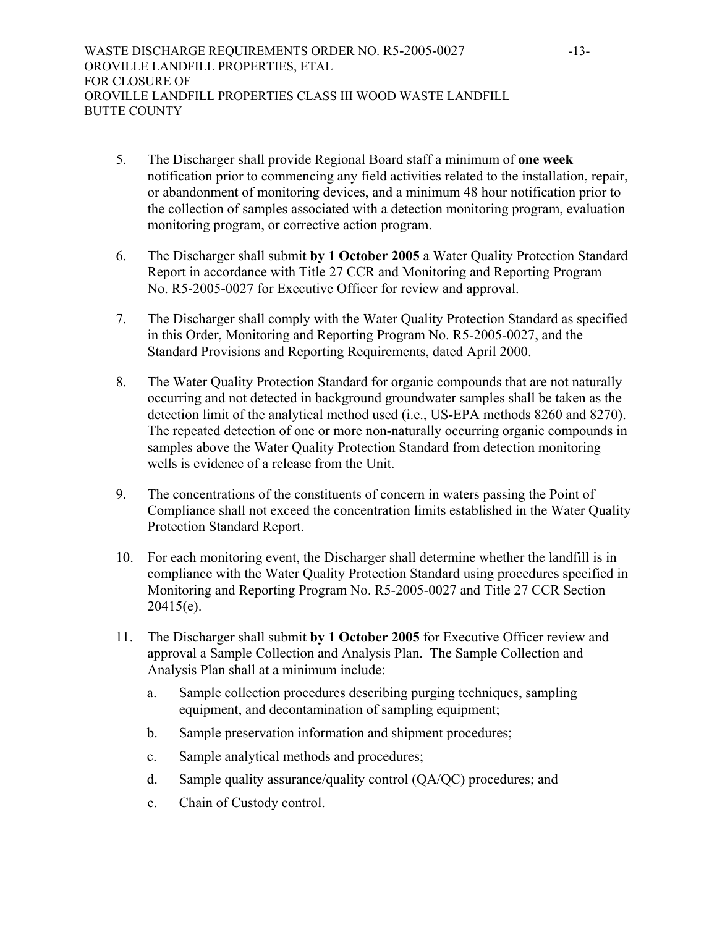- 5. The Discharger shall provide Regional Board staff a minimum of **one week** notification prior to commencing any field activities related to the installation, repair, or abandonment of monitoring devices, and a minimum 48 hour notification prior to the collection of samples associated with a detection monitoring program, evaluation monitoring program, or corrective action program.
- 6. The Discharger shall submit **by 1 October 2005** a Water Quality Protection Standard Report in accordance with Title 27 CCR and Monitoring and Reporting Program No. R5-2005-0027 for Executive Officer for review and approval.
- 7. The Discharger shall comply with the Water Quality Protection Standard as specified in this Order, Monitoring and Reporting Program No. R5-2005-0027, and the Standard Provisions and Reporting Requirements, dated April 2000.
- 8. The Water Quality Protection Standard for organic compounds that are not naturally occurring and not detected in background groundwater samples shall be taken as the detection limit of the analytical method used (i.e., US-EPA methods 8260 and 8270). The repeated detection of one or more non-naturally occurring organic compounds in samples above the Water Quality Protection Standard from detection monitoring wells is evidence of a release from the Unit.
- 9. The concentrations of the constituents of concern in waters passing the Point of Compliance shall not exceed the concentration limits established in the Water Quality Protection Standard Report.
- 10. For each monitoring event, the Discharger shall determine whether the landfill is in compliance with the Water Quality Protection Standard using procedures specified in Monitoring and Reporting Program No. R5-2005-0027 and Title 27 CCR Section  $20415(e)$ .
- 11. The Discharger shall submit **by 1 October 2005** for Executive Officer review and approval a Sample Collection and Analysis Plan. The Sample Collection and Analysis Plan shall at a minimum include:
	- a. Sample collection procedures describing purging techniques, sampling equipment, and decontamination of sampling equipment;
	- b. Sample preservation information and shipment procedures;
	- c. Sample analytical methods and procedures;
	- d. Sample quality assurance/quality control (QA/QC) procedures; and
	- e. Chain of Custody control.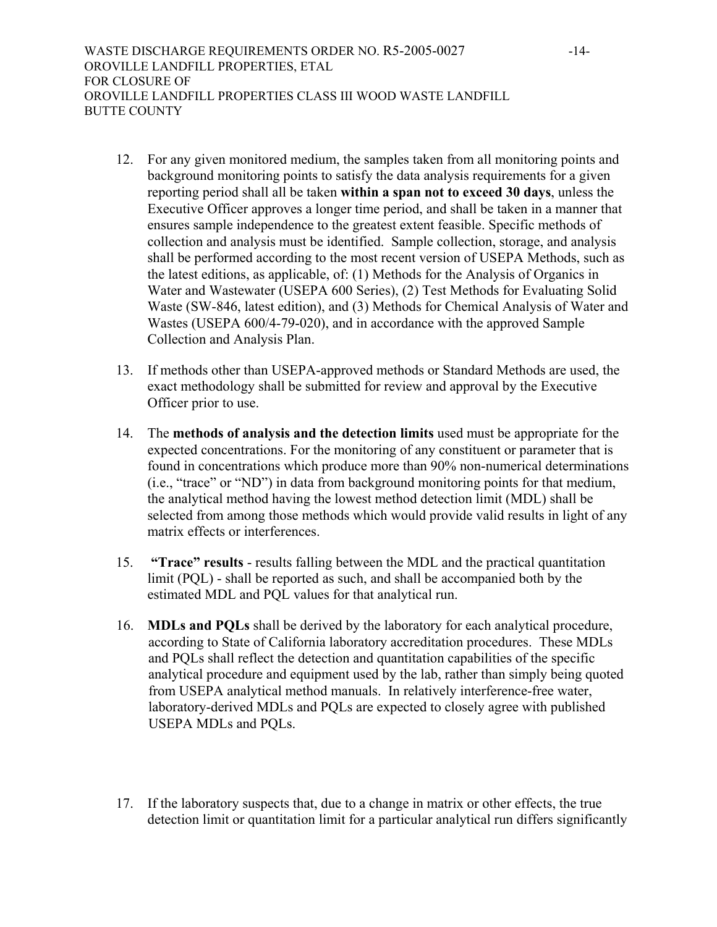WASTE DISCHARGE REQUIREMENTS ORDER NO. R5-2005-0027 -14-OROVILLE LANDFILL PROPERTIES, ETAL FOR CLOSURE OF OROVILLE LANDFILL PROPERTIES CLASS III WOOD WASTE LANDFILL BUTTE COUNTY

- 12. For any given monitored medium, the samples taken from all monitoring points and background monitoring points to satisfy the data analysis requirements for a given reporting period shall all be taken **within a span not to exceed 30 days**, unless the Executive Officer approves a longer time period, and shall be taken in a manner that ensures sample independence to the greatest extent feasible. Specific methods of collection and analysis must be identified. Sample collection, storage, and analysis shall be performed according to the most recent version of USEPA Methods, such as the latest editions, as applicable, of: (1) Methods for the Analysis of Organics in Water and Wastewater (USEPA 600 Series), (2) Test Methods for Evaluating Solid Waste (SW-846, latest edition), and (3) Methods for Chemical Analysis of Water and Wastes (USEPA 600/4-79-020), and in accordance with the approved Sample Collection and Analysis Plan.
- 13. If methods other than USEPA-approved methods or Standard Methods are used, the exact methodology shall be submitted for review and approval by the Executive Officer prior to use.
- 14. The **methods of analysis and the detection limits** used must be appropriate for the expected concentrations. For the monitoring of any constituent or parameter that is found in concentrations which produce more than 90% non-numerical determinations (i.e., "trace" or "ND") in data from background monitoring points for that medium, the analytical method having the lowest method detection limit (MDL) shall be selected from among those methods which would provide valid results in light of any matrix effects or interferences.
- 15. **"Trace" results** results falling between the MDL and the practical quantitation limit (PQL) - shall be reported as such, and shall be accompanied both by the estimated MDL and PQL values for that analytical run.
- 16. **MDLs and PQLs** shall be derived by the laboratory for each analytical procedure, according to State of California laboratory accreditation procedures. These MDLs and PQLs shall reflect the detection and quantitation capabilities of the specific analytical procedure and equipment used by the lab, rather than simply being quoted from USEPA analytical method manuals. In relatively interference-free water, laboratory-derived MDLs and PQLs are expected to closely agree with published USEPA MDLs and PQLs.
- 17. If the laboratory suspects that, due to a change in matrix or other effects, the true detection limit or quantitation limit for a particular analytical run differs significantly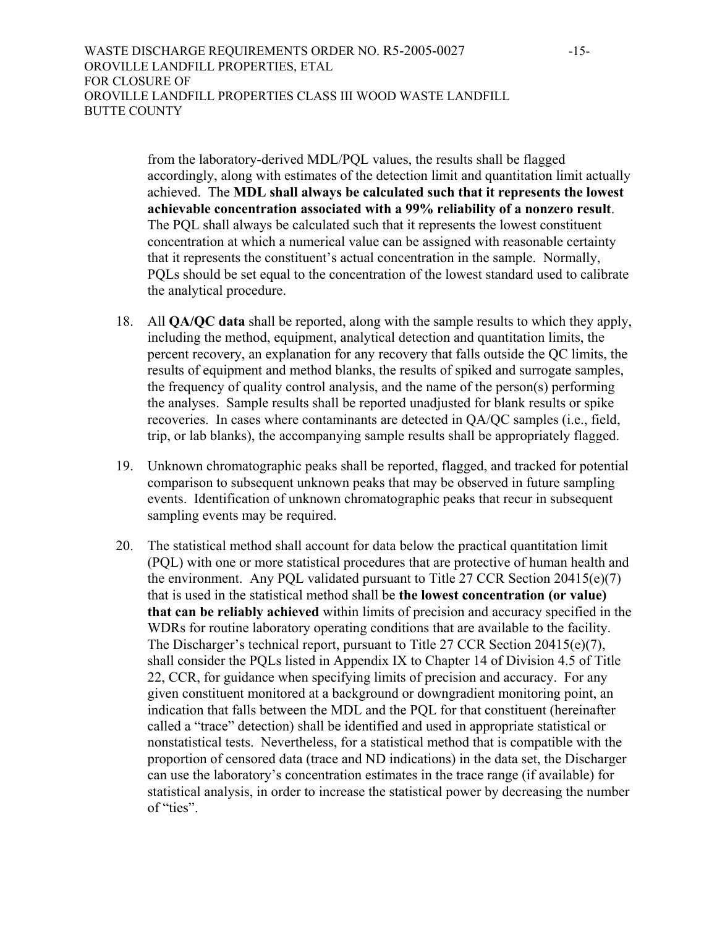from the laboratory-derived MDL/PQL values, the results shall be flagged accordingly, along with estimates of the detection limit and quantitation limit actually achieved. The **MDL shall always be calculated such that it represents the lowest achievable concentration associated with a 99% reliability of a nonzero result**. The PQL shall always be calculated such that it represents the lowest constituent concentration at which a numerical value can be assigned with reasonable certainty that it represents the constituent's actual concentration in the sample. Normally, PQLs should be set equal to the concentration of the lowest standard used to calibrate the analytical procedure.

- 18. All **QA/QC data** shall be reported, along with the sample results to which they apply, including the method, equipment, analytical detection and quantitation limits, the percent recovery, an explanation for any recovery that falls outside the QC limits, the results of equipment and method blanks, the results of spiked and surrogate samples, the frequency of quality control analysis, and the name of the person(s) performing the analyses. Sample results shall be reported unadjusted for blank results or spike recoveries. In cases where contaminants are detected in QA/QC samples (i.e., field, trip, or lab blanks), the accompanying sample results shall be appropriately flagged.
- 19. Unknown chromatographic peaks shall be reported, flagged, and tracked for potential comparison to subsequent unknown peaks that may be observed in future sampling events. Identification of unknown chromatographic peaks that recur in subsequent sampling events may be required.
- 20. The statistical method shall account for data below the practical quantitation limit (PQL) with one or more statistical procedures that are protective of human health and the environment. Any PQL validated pursuant to Title 27 CCR Section 20415(e)(7) that is used in the statistical method shall be **the lowest concentration (or value) that can be reliably achieved** within limits of precision and accuracy specified in the WDRs for routine laboratory operating conditions that are available to the facility. The Discharger's technical report, pursuant to Title 27 CCR Section 20415(e)(7), shall consider the PQLs listed in Appendix IX to Chapter 14 of Division 4.5 of Title 22, CCR, for guidance when specifying limits of precision and accuracy. For any given constituent monitored at a background or downgradient monitoring point, an indication that falls between the MDL and the PQL for that constituent (hereinafter called a "trace" detection) shall be identified and used in appropriate statistical or nonstatistical tests. Nevertheless, for a statistical method that is compatible with the proportion of censored data (trace and ND indications) in the data set, the Discharger can use the laboratory's concentration estimates in the trace range (if available) for statistical analysis, in order to increase the statistical power by decreasing the number of "ties".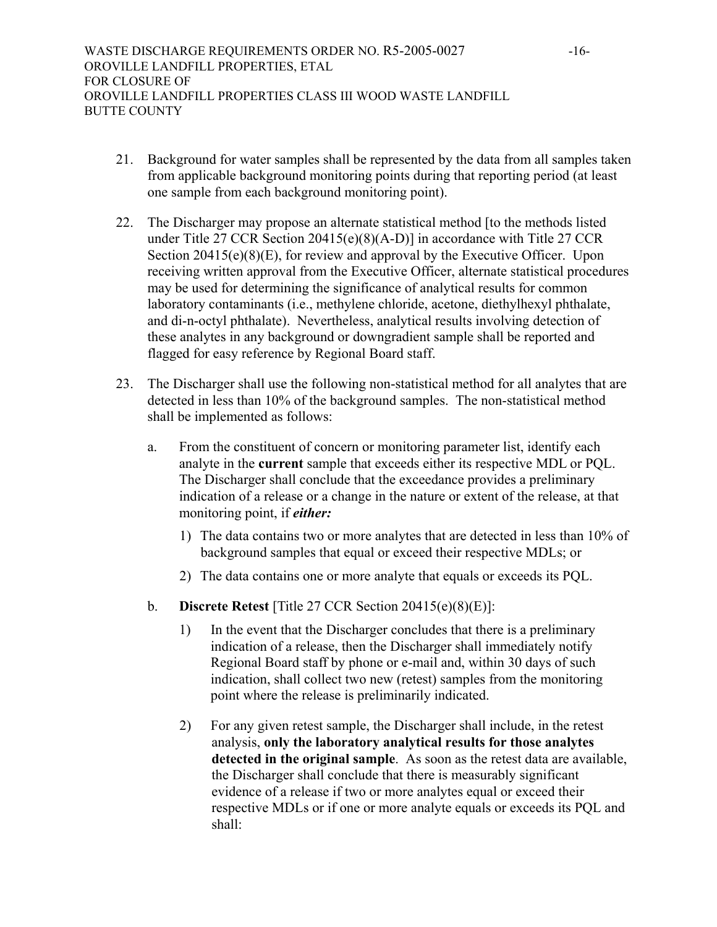- 21. Background for water samples shall be represented by the data from all samples taken from applicable background monitoring points during that reporting period (at least one sample from each background monitoring point).
- 22. The Discharger may propose an alternate statistical method [to the methods listed under Title 27 CCR Section 20415(e)(8)(A-D)] in accordance with Title 27 CCR Section  $20415(e)(8)(E)$ , for review and approval by the Executive Officer. Upon receiving written approval from the Executive Officer, alternate statistical procedures may be used for determining the significance of analytical results for common laboratory contaminants (i.e., methylene chloride, acetone, diethylhexyl phthalate, and di-n-octyl phthalate). Nevertheless, analytical results involving detection of these analytes in any background or downgradient sample shall be reported and flagged for easy reference by Regional Board staff.
- 23. The Discharger shall use the following non-statistical method for all analytes that are detected in less than 10% of the background samples. The non-statistical method shall be implemented as follows:
	- a. From the constituent of concern or monitoring parameter list, identify each analyte in the **current** sample that exceeds either its respective MDL or PQL. The Discharger shall conclude that the exceedance provides a preliminary indication of a release or a change in the nature or extent of the release, at that monitoring point, if *either:* 
		- 1) The data contains two or more analytes that are detected in less than 10% of background samples that equal or exceed their respective MDLs; or
		- 2) The data contains one or more analyte that equals or exceeds its PQL.
	- b. **Discrete Retest** [Title 27 CCR Section 20415(e)(8)(E)]:
		- 1) In the event that the Discharger concludes that there is a preliminary indication of a release, then the Discharger shall immediately notify Regional Board staff by phone or e-mail and, within 30 days of such indication, shall collect two new (retest) samples from the monitoring point where the release is preliminarily indicated.
		- 2) For any given retest sample, the Discharger shall include, in the retest analysis, **only the laboratory analytical results for those analytes detected in the original sample**. As soon as the retest data are available, the Discharger shall conclude that there is measurably significant evidence of a release if two or more analytes equal or exceed their respective MDLs or if one or more analyte equals or exceeds its PQL and shall: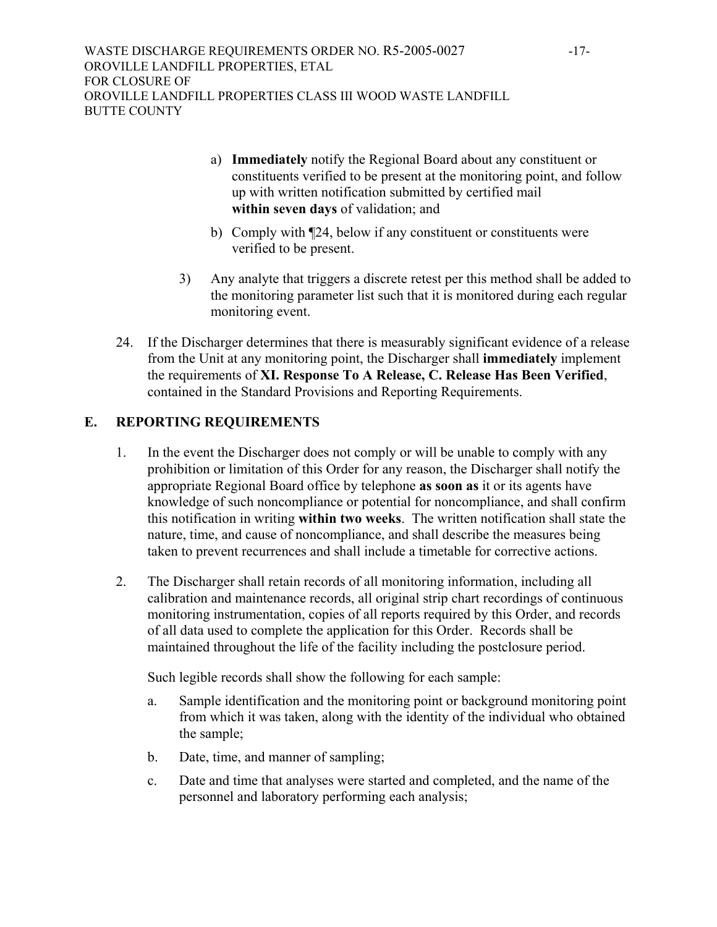- a) **Immediately** notify the Regional Board about any constituent or constituents verified to be present at the monitoring point, and follow up with written notification submitted by certified mail **within seven days** of validation; and
- b) Comply with ¶24, below if any constituent or constituents were verified to be present.
- 3) Any analyte that triggers a discrete retest per this method shall be added to the monitoring parameter list such that it is monitored during each regular monitoring event.
- 24. If the Discharger determines that there is measurably significant evidence of a release from the Unit at any monitoring point, the Discharger shall **immediately** implement the requirements of **XI. Response To A Release, C. Release Has Been Verified**, contained in the Standard Provisions and Reporting Requirements.

# **E. REPORTING REQUIREMENTS**

- 1. In the event the Discharger does not comply or will be unable to comply with any prohibition or limitation of this Order for any reason, the Discharger shall notify the appropriate Regional Board office by telephone **as soon as** it or its agents have knowledge of such noncompliance or potential for noncompliance, and shall confirm this notification in writing **within two weeks**. The written notification shall state the nature, time, and cause of noncompliance, and shall describe the measures being taken to prevent recurrences and shall include a timetable for corrective actions.
- 2. The Discharger shall retain records of all monitoring information, including all calibration and maintenance records, all original strip chart recordings of continuous monitoring instrumentation, copies of all reports required by this Order, and records of all data used to complete the application for this Order. Records shall be maintained throughout the life of the facility including the postclosure period.

Such legible records shall show the following for each sample:

- a. Sample identification and the monitoring point or background monitoring point from which it was taken, along with the identity of the individual who obtained the sample;
- b. Date, time, and manner of sampling;
- c. Date and time that analyses were started and completed, and the name of the personnel and laboratory performing each analysis;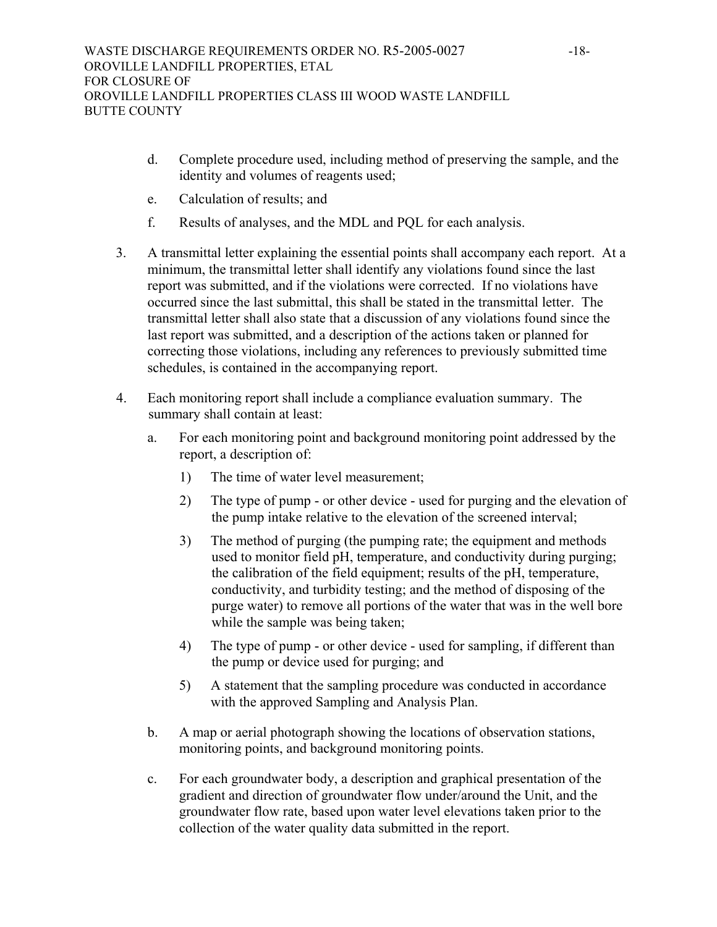- d. Complete procedure used, including method of preserving the sample, and the identity and volumes of reagents used;
- e. Calculation of results; and
- f. Results of analyses, and the MDL and PQL for each analysis.
- 3. A transmittal letter explaining the essential points shall accompany each report. At a minimum, the transmittal letter shall identify any violations found since the last report was submitted, and if the violations were corrected. If no violations have occurred since the last submittal, this shall be stated in the transmittal letter. The transmittal letter shall also state that a discussion of any violations found since the last report was submitted, and a description of the actions taken or planned for correcting those violations, including any references to previously submitted time schedules, is contained in the accompanying report.
- 4. Each monitoring report shall include a compliance evaluation summary. The summary shall contain at least:
	- a. For each monitoring point and background monitoring point addressed by the report, a description of:
		- 1) The time of water level measurement;
		- 2) The type of pump or other device used for purging and the elevation of the pump intake relative to the elevation of the screened interval;
		- 3) The method of purging (the pumping rate; the equipment and methods used to monitor field pH, temperature, and conductivity during purging; the calibration of the field equipment; results of the pH, temperature, conductivity, and turbidity testing; and the method of disposing of the purge water) to remove all portions of the water that was in the well bore while the sample was being taken;
		- 4) The type of pump or other device used for sampling, if different than the pump or device used for purging; and
		- 5) A statement that the sampling procedure was conducted in accordance with the approved Sampling and Analysis Plan.
	- b. A map or aerial photograph showing the locations of observation stations, monitoring points, and background monitoring points.
	- c. For each groundwater body, a description and graphical presentation of the gradient and direction of groundwater flow under/around the Unit, and the groundwater flow rate, based upon water level elevations taken prior to the collection of the water quality data submitted in the report.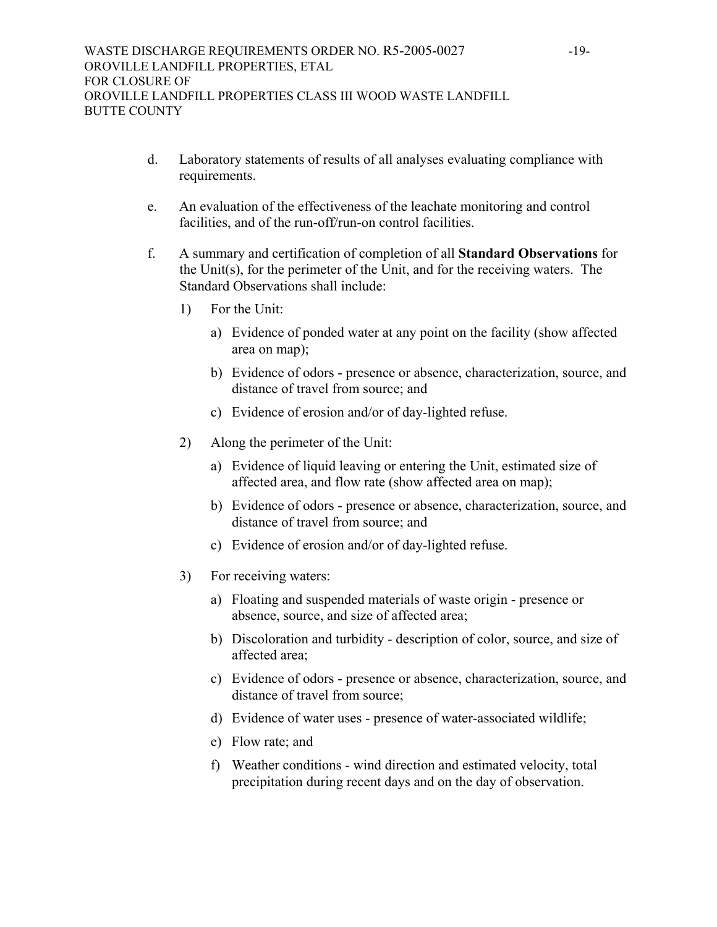- d. Laboratory statements of results of all analyses evaluating compliance with requirements.
- e. An evaluation of the effectiveness of the leachate monitoring and control facilities, and of the run-off/run-on control facilities.
- f. A summary and certification of completion of all **Standard Observations** for the Unit(s), for the perimeter of the Unit, and for the receiving waters. The Standard Observations shall include:
	- 1) For the Unit:
		- a) Evidence of ponded water at any point on the facility (show affected area on map);
		- b) Evidence of odors presence or absence, characterization, source, and distance of travel from source; and
		- c) Evidence of erosion and/or of day-lighted refuse.
	- 2) Along the perimeter of the Unit:
		- a) Evidence of liquid leaving or entering the Unit, estimated size of affected area, and flow rate (show affected area on map);
		- b) Evidence of odors presence or absence, characterization, source, and distance of travel from source; and
		- c) Evidence of erosion and/or of day-lighted refuse.
	- 3) For receiving waters:
		- a) Floating and suspended materials of waste origin presence or absence, source, and size of affected area;
		- b) Discoloration and turbidity description of color, source, and size of affected area;
		- c) Evidence of odors presence or absence, characterization, source, and distance of travel from source;
		- d) Evidence of water uses presence of water-associated wildlife;
		- e) Flow rate; and
		- f) Weather conditions wind direction and estimated velocity, total precipitation during recent days and on the day of observation.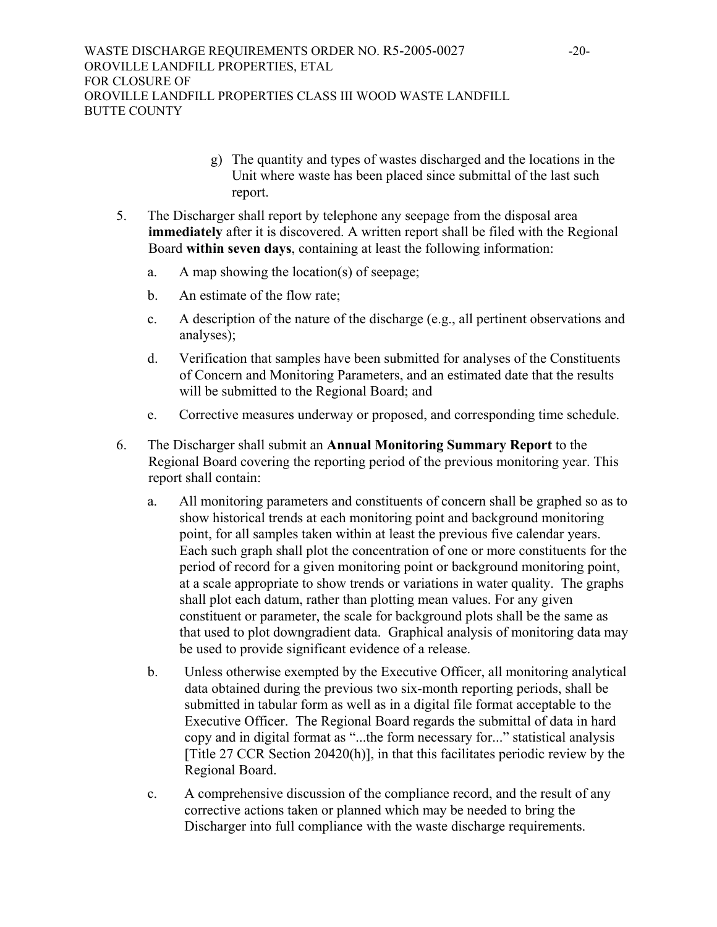- g) The quantity and types of wastes discharged and the locations in the Unit where waste has been placed since submittal of the last such report.
- 5. The Discharger shall report by telephone any seepage from the disposal area **immediately** after it is discovered. A written report shall be filed with the Regional Board **within seven days**, containing at least the following information:
	- a. A map showing the location(s) of seepage;
	- b. An estimate of the flow rate;
	- c. A description of the nature of the discharge (e.g., all pertinent observations and analyses);
	- d. Verification that samples have been submitted for analyses of the Constituents of Concern and Monitoring Parameters, and an estimated date that the results will be submitted to the Regional Board; and
	- e. Corrective measures underway or proposed, and corresponding time schedule.
- 6. The Discharger shall submit an **Annual Monitoring Summary Report** to the Regional Board covering the reporting period of the previous monitoring year. This report shall contain:
	- a. All monitoring parameters and constituents of concern shall be graphed so as to show historical trends at each monitoring point and background monitoring point, for all samples taken within at least the previous five calendar years. Each such graph shall plot the concentration of one or more constituents for the period of record for a given monitoring point or background monitoring point, at a scale appropriate to show trends or variations in water quality. The graphs shall plot each datum, rather than plotting mean values. For any given constituent or parameter, the scale for background plots shall be the same as that used to plot downgradient data. Graphical analysis of monitoring data may be used to provide significant evidence of a release.
	- b. Unless otherwise exempted by the Executive Officer, all monitoring analytical data obtained during the previous two six-month reporting periods, shall be submitted in tabular form as well as in a digital file format acceptable to the Executive Officer. The Regional Board regards the submittal of data in hard copy and in digital format as "...the form necessary for..." statistical analysis [Title 27 CCR Section 20420(h)], in that this facilitates periodic review by the Regional Board.
	- c. A comprehensive discussion of the compliance record, and the result of any corrective actions taken or planned which may be needed to bring the Discharger into full compliance with the waste discharge requirements.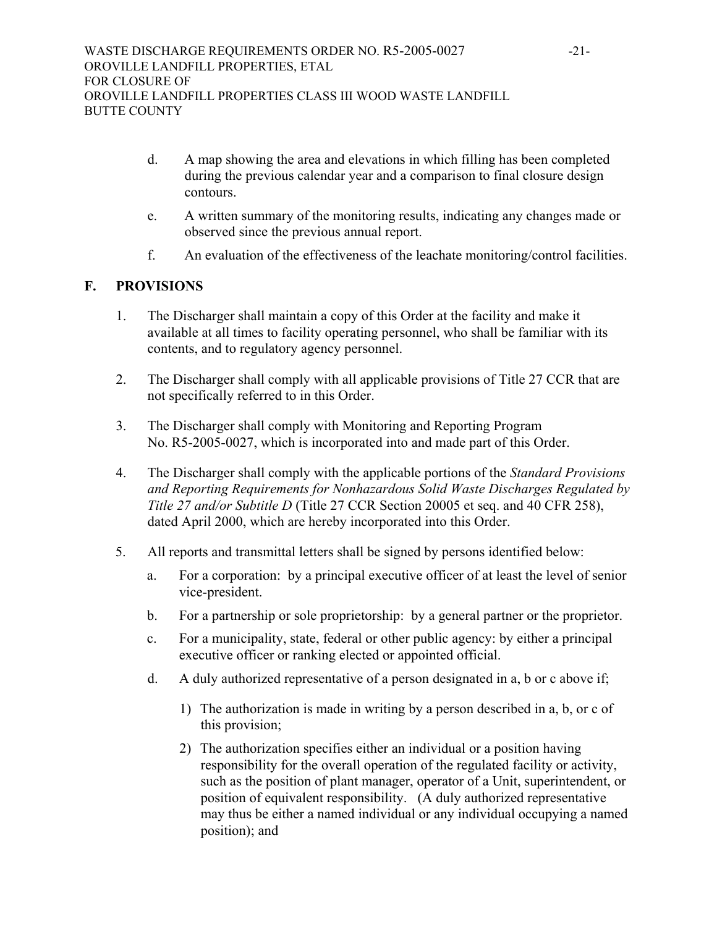- d. A map showing the area and elevations in which filling has been completed during the previous calendar year and a comparison to final closure design contours.
- e. A written summary of the monitoring results, indicating any changes made or observed since the previous annual report.
- f. An evaluation of the effectiveness of the leachate monitoring/control facilities.

# **F. PROVISIONS**

- 1. The Discharger shall maintain a copy of this Order at the facility and make it available at all times to facility operating personnel, who shall be familiar with its contents, and to regulatory agency personnel.
- 2. The Discharger shall comply with all applicable provisions of Title 27 CCR that are not specifically referred to in this Order.
- 3. The Discharger shall comply with Monitoring and Reporting Program No. R5-2005-0027, which is incorporated into and made part of this Order.
- 4. The Discharger shall comply with the applicable portions of the *Standard Provisions and Reporting Requirements for Nonhazardous Solid Waste Discharges Regulated by Title 27 and/or Subtitle D* (Title 27 CCR Section 20005 et seq. and 40 CFR 258), dated April 2000, which are hereby incorporated into this Order.
- 5. All reports and transmittal letters shall be signed by persons identified below:
	- a. For a corporation: by a principal executive officer of at least the level of senior vice-president.
	- b. For a partnership or sole proprietorship: by a general partner or the proprietor.
	- c. For a municipality, state, federal or other public agency: by either a principal executive officer or ranking elected or appointed official.
	- d. A duly authorized representative of a person designated in a, b or c above if;
		- 1) The authorization is made in writing by a person described in a, b, or c of this provision;
		- 2) The authorization specifies either an individual or a position having responsibility for the overall operation of the regulated facility or activity, such as the position of plant manager, operator of a Unit, superintendent, or position of equivalent responsibility. (A duly authorized representative may thus be either a named individual or any individual occupying a named position); and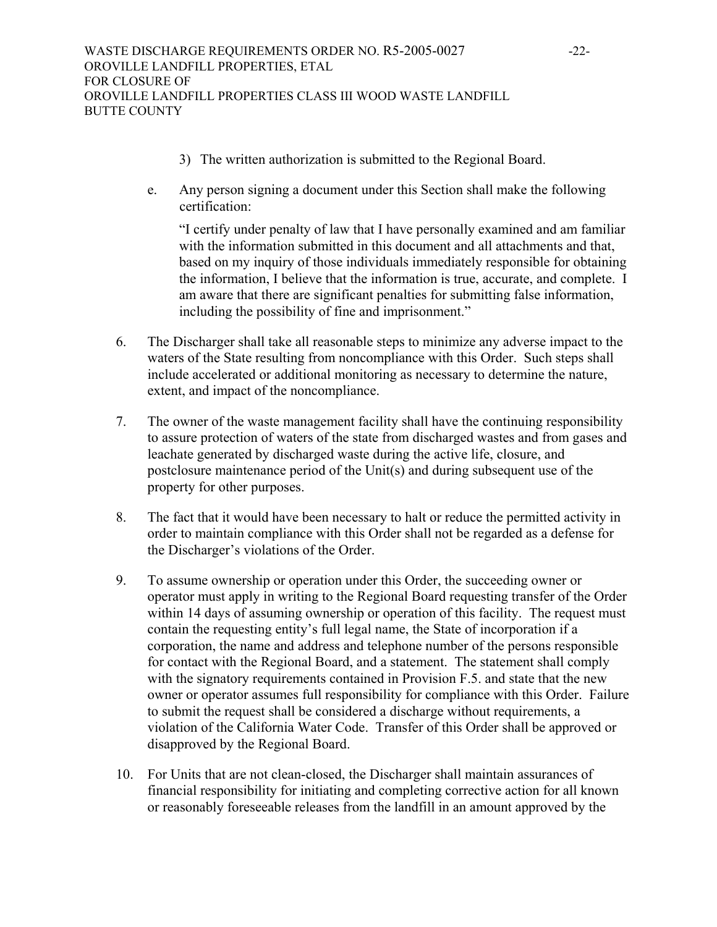- 3) The written authorization is submitted to the Regional Board.
- e. Any person signing a document under this Section shall make the following certification:

"I certify under penalty of law that I have personally examined and am familiar with the information submitted in this document and all attachments and that, based on my inquiry of those individuals immediately responsible for obtaining the information, I believe that the information is true, accurate, and complete. I am aware that there are significant penalties for submitting false information, including the possibility of fine and imprisonment."

- 6. The Discharger shall take all reasonable steps to minimize any adverse impact to the waters of the State resulting from noncompliance with this Order. Such steps shall include accelerated or additional monitoring as necessary to determine the nature, extent, and impact of the noncompliance.
- 7. The owner of the waste management facility shall have the continuing responsibility to assure protection of waters of the state from discharged wastes and from gases and leachate generated by discharged waste during the active life, closure, and postclosure maintenance period of the Unit(s) and during subsequent use of the property for other purposes.
- 8. The fact that it would have been necessary to halt or reduce the permitted activity in order to maintain compliance with this Order shall not be regarded as a defense for the Discharger's violations of the Order.
- 9. To assume ownership or operation under this Order, the succeeding owner or operator must apply in writing to the Regional Board requesting transfer of the Order within 14 days of assuming ownership or operation of this facility. The request must contain the requesting entity's full legal name, the State of incorporation if a corporation, the name and address and telephone number of the persons responsible for contact with the Regional Board, and a statement. The statement shall comply with the signatory requirements contained in Provision F.5. and state that the new owner or operator assumes full responsibility for compliance with this Order. Failure to submit the request shall be considered a discharge without requirements, a violation of the California Water Code. Transfer of this Order shall be approved or disapproved by the Regional Board.
- 10. For Units that are not clean-closed, the Discharger shall maintain assurances of financial responsibility for initiating and completing corrective action for all known or reasonably foreseeable releases from the landfill in an amount approved by the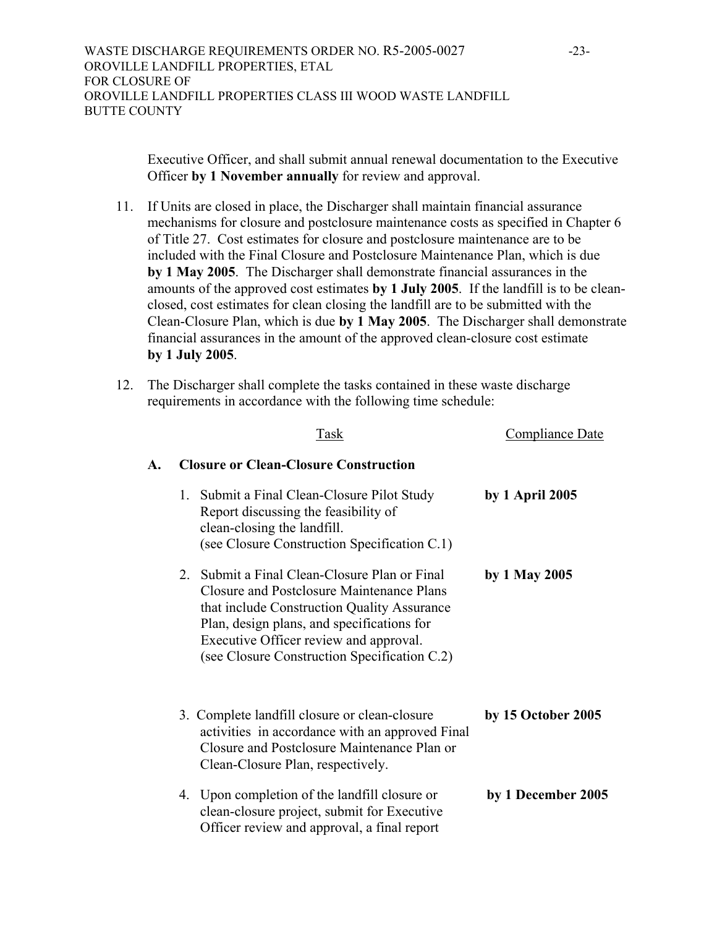Executive Officer, and shall submit annual renewal documentation to the Executive Officer **by 1 November annually** for review and approval.

- 11. If Units are closed in place, the Discharger shall maintain financial assurance mechanisms for closure and postclosure maintenance costs as specified in Chapter 6 of Title 27. Cost estimates for closure and postclosure maintenance are to be included with the Final Closure and Postclosure Maintenance Plan, which is due **by 1 May 2005**. The Discharger shall demonstrate financial assurances in the amounts of the approved cost estimates **by 1 July 2005**. If the landfill is to be cleanclosed, cost estimates for clean closing the landfill are to be submitted with the Clean-Closure Plan, which is due **by 1 May 2005**. The Discharger shall demonstrate financial assurances in the amount of the approved clean-closure cost estimate **by 1 July 2005**.
- 12. The Discharger shall complete the tasks contained in these waste discharge requirements in accordance with the following time schedule:

|                | Task                                                                                                                                                                                                                                                                                             | Compliance Date    |
|----------------|--------------------------------------------------------------------------------------------------------------------------------------------------------------------------------------------------------------------------------------------------------------------------------------------------|--------------------|
| $\mathbf{A}$ . | <b>Closure or Clean-Closure Construction</b>                                                                                                                                                                                                                                                     |                    |
|                | 1. Submit a Final Clean-Closure Pilot Study<br>Report discussing the feasibility of<br>clean-closing the landfill.<br>(see Closure Construction Specification C.1)                                                                                                                               | by 1 April 2005    |
|                | Submit a Final Clean-Closure Plan or Final<br>$2_{-}$<br><b>Closure and Postclosure Maintenance Plans</b><br>that include Construction Quality Assurance<br>Plan, design plans, and specifications for<br>Executive Officer review and approval.<br>(see Closure Construction Specification C.2) | by 1 May 2005      |
|                | 3. Complete landfill closure or clean-closure<br>activities in accordance with an approved Final<br>Closure and Postclosure Maintenance Plan or<br>Clean-Closure Plan, respectively.                                                                                                             | by 15 October 2005 |
|                | 4. Upon completion of the landfill closure or<br>clean-closure project, submit for Executive<br>Officer review and approval, a final report                                                                                                                                                      | by 1 December 2005 |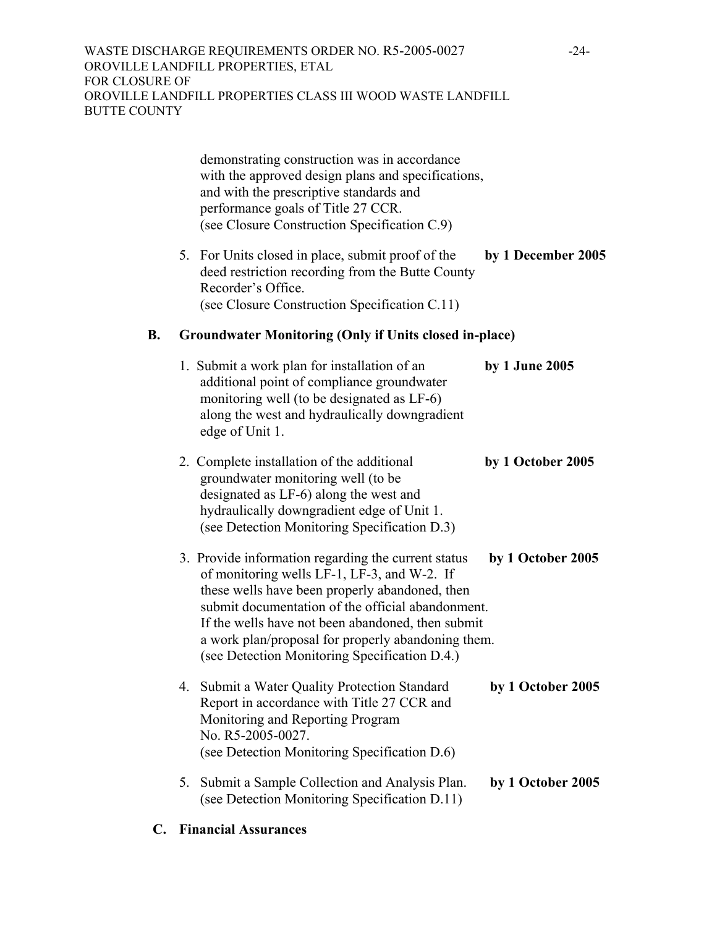|           |    | demonstrating construction was in accordance<br>with the approved design plans and specifications,<br>and with the prescriptive standards and<br>performance goals of Title 27 CCR.<br>(see Closure Construction Specification C.9)                                                                                                                                   |                    |
|-----------|----|-----------------------------------------------------------------------------------------------------------------------------------------------------------------------------------------------------------------------------------------------------------------------------------------------------------------------------------------------------------------------|--------------------|
|           |    | 5. For Units closed in place, submit proof of the<br>deed restriction recording from the Butte County<br>Recorder's Office.<br>(see Closure Construction Specification C.11)                                                                                                                                                                                          | by 1 December 2005 |
| <b>B.</b> |    | <b>Groundwater Monitoring (Only if Units closed in-place)</b>                                                                                                                                                                                                                                                                                                         |                    |
|           |    | 1. Submit a work plan for installation of an<br>additional point of compliance groundwater<br>monitoring well (to be designated as LF-6)<br>along the west and hydraulically downgradient<br>edge of Unit 1.                                                                                                                                                          | by 1 June 2005     |
|           |    | 2. Complete installation of the additional<br>groundwater monitoring well (to be<br>designated as LF-6) along the west and<br>hydraulically downgradient edge of Unit 1.<br>(see Detection Monitoring Specification D.3)                                                                                                                                              | by 1 October 2005  |
|           |    | 3. Provide information regarding the current status<br>of monitoring wells LF-1, LF-3, and W-2. If<br>these wells have been properly abandoned, then<br>submit documentation of the official abandonment.<br>If the wells have not been abandoned, then submit<br>a work plan/proposal for properly abandoning them.<br>(see Detection Monitoring Specification D.4.) | by 1 October 2005  |
|           |    | 4. Submit a Water Quality Protection Standard<br>Report in accordance with Title 27 CCR and<br>Monitoring and Reporting Program<br>No. R5-2005-0027.<br>(see Detection Monitoring Specification D.6)                                                                                                                                                                  | by 1 October 2005  |
|           | 5. | Submit a Sample Collection and Analysis Plan.<br>(see Detection Monitoring Specification D.11)                                                                                                                                                                                                                                                                        | by 1 October 2005  |

# **C. Financial Assurances**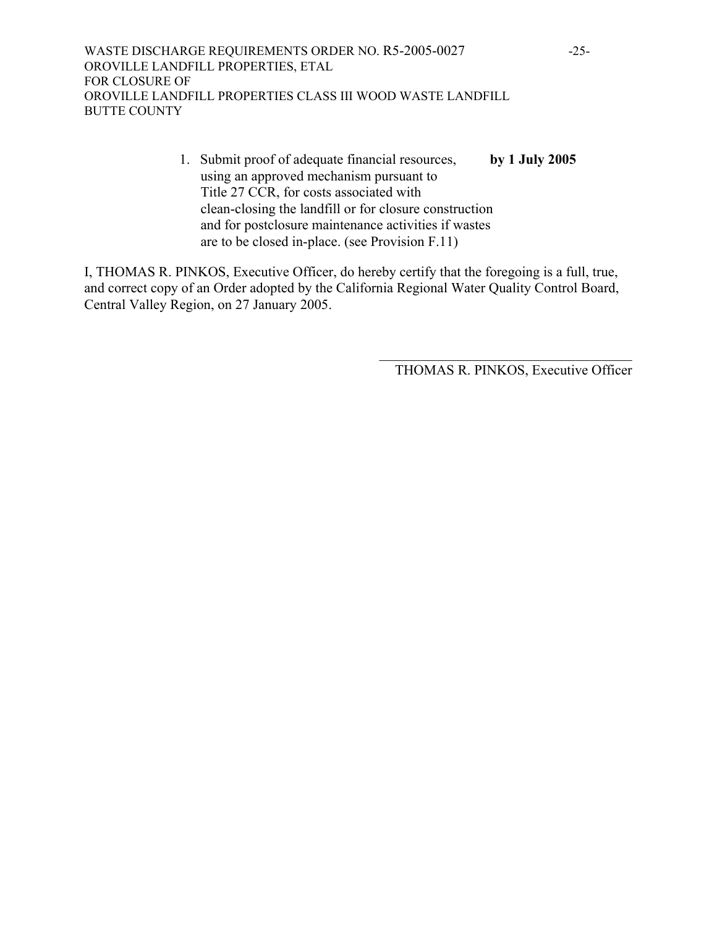WASTE DISCHARGE REQUIREMENTS ORDER NO. R5-2005-0027 -25-OROVILLE LANDFILL PROPERTIES, ETAL FOR CLOSURE OF OROVILLE LANDFILL PROPERTIES CLASS III WOOD WASTE LANDFILL BUTTE COUNTY

> 1. Submit proof of adequate financial resources, **by 1 July 2005**  using an approved mechanism pursuant to Title 27 CCR, for costs associated with clean-closing the landfill or for closure construction and for postclosure maintenance activities if wastes are to be closed in-place. (see Provision F.11)

I, THOMAS R. PINKOS, Executive Officer, do hereby certify that the foregoing is a full, true, and correct copy of an Order adopted by the California Regional Water Quality Control Board, Central Valley Region, on 27 January 2005.

> $\mathcal{L}_\text{max}$  , and the set of the set of the set of the set of the set of the set of the set of the set of the set of the set of the set of the set of the set of the set of the set of the set of the set of the set of the THOMAS R. PINKOS, Executive Officer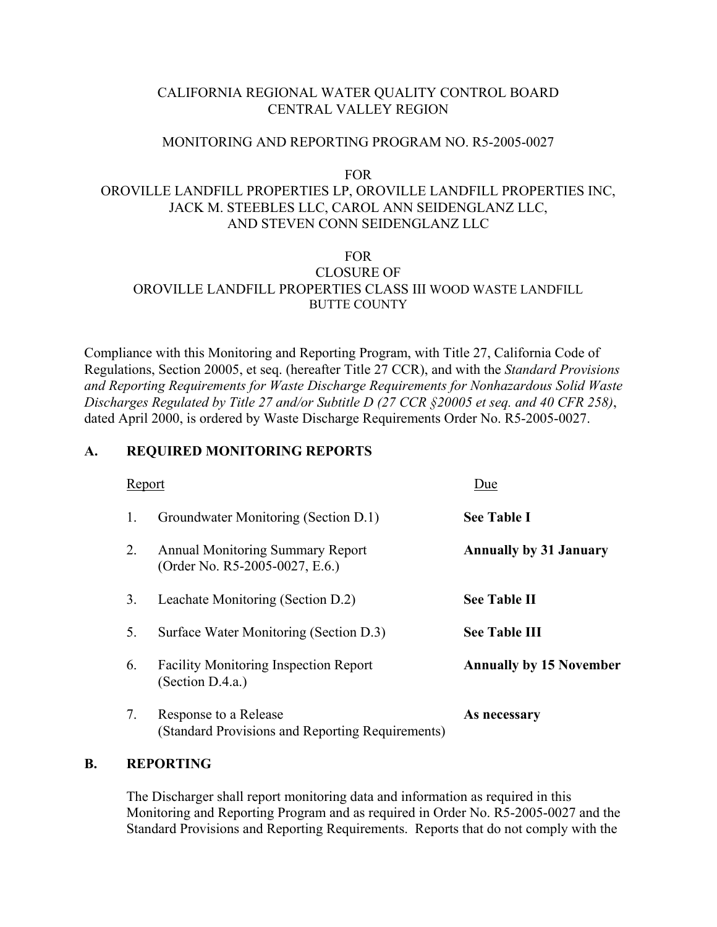# CALIFORNIA REGIONAL WATER QUALITY CONTROL BOARD CENTRAL VALLEY REGION

## MONITORING AND REPORTING PROGRAM NO. R5-2005-0027

#### FOR

# OROVILLE LANDFILL PROPERTIES LP, OROVILLE LANDFILL PROPERTIES INC, JACK M. STEEBLES LLC, CAROL ANN SEIDENGLANZ LLC, AND STEVEN CONN SEIDENGLANZ LLC

# FOR CLOSURE OF OROVILLE LANDFILL PROPERTIES CLASS III WOOD WASTE LANDFILL BUTTE COUNTY

Compliance with this Monitoring and Reporting Program, with Title 27, California Code of Regulations, Section 20005, et seq. (hereafter Title 27 CCR), and with the *Standard Provisions and Reporting Requirements for Waste Discharge Requirements for Nonhazardous Solid Waste Discharges Regulated by Title 27 and/or Subtitle D (27 CCR §20005 et seq. and 40 CFR 258)*, dated April 2000, is ordered by Waste Discharge Requirements Order No. R5-2005-0027.

## **A. REQUIRED MONITORING REPORTS**

| Report |                                                                           | Due                            |
|--------|---------------------------------------------------------------------------|--------------------------------|
| 1.     | Groundwater Monitoring (Section D.1)                                      | <b>See Table I</b>             |
| 2.     | <b>Annual Monitoring Summary Report</b><br>(Order No. R5-2005-0027, E.6.) | <b>Annually by 31 January</b>  |
| 3.     | Leachate Monitoring (Section D.2)                                         | <b>See Table II</b>            |
| 5.     | Surface Water Monitoring (Section D.3)                                    | <b>See Table III</b>           |
| 6.     | <b>Facility Monitoring Inspection Report</b><br>(Section $D.4.a.$ )       | <b>Annually by 15 November</b> |
| 7.     | Response to a Release<br>(Standard Provisions and Reporting Requirements) | As necessary                   |

# **B. REPORTING**

 The Discharger shall report monitoring data and information as required in this Monitoring and Reporting Program and as required in Order No. R5-2005-0027 and the Standard Provisions and Reporting Requirements. Reports that do not comply with the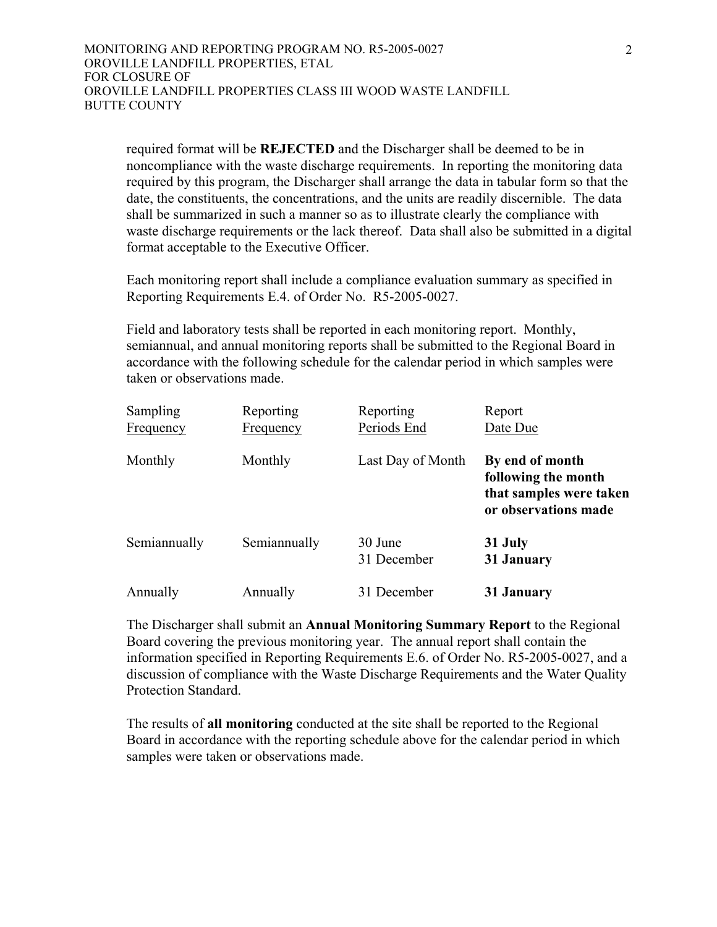required format will be **REJECTED** and the Discharger shall be deemed to be in noncompliance with the waste discharge requirements. In reporting the monitoring data required by this program, the Discharger shall arrange the data in tabular form so that the date, the constituents, the concentrations, and the units are readily discernible. The data shall be summarized in such a manner so as to illustrate clearly the compliance with waste discharge requirements or the lack thereof. Data shall also be submitted in a digital format acceptable to the Executive Officer.

 Each monitoring report shall include a compliance evaluation summary as specified in Reporting Requirements E.4. of Order No. R5-2005-0027.

 Field and laboratory tests shall be reported in each monitoring report. Monthly, semiannual, and annual monitoring reports shall be submitted to the Regional Board in accordance with the following schedule for the calendar period in which samples were taken or observations made.

| Sampling<br>Frequency | Reporting<br>Frequency | Reporting<br>Periods End | Report<br>Date Due                                                                        |
|-----------------------|------------------------|--------------------------|-------------------------------------------------------------------------------------------|
| Monthly               | Monthly                | Last Day of Month        | By end of month<br>following the month<br>that samples were taken<br>or observations made |
| Semiannually          | Semiannually           | 30 June<br>31 December   | 31 July<br>31 January                                                                     |
| Annually              | Annually               | 31 December              | 31 January                                                                                |

 The Discharger shall submit an **Annual Monitoring Summary Report** to the Regional Board covering the previous monitoring year. The annual report shall contain the information specified in Reporting Requirements E.6. of Order No. R5-2005-0027, and a discussion of compliance with the Waste Discharge Requirements and the Water Quality Protection Standard.

 The results of **all monitoring** conducted at the site shall be reported to the Regional Board in accordance with the reporting schedule above for the calendar period in which samples were taken or observations made.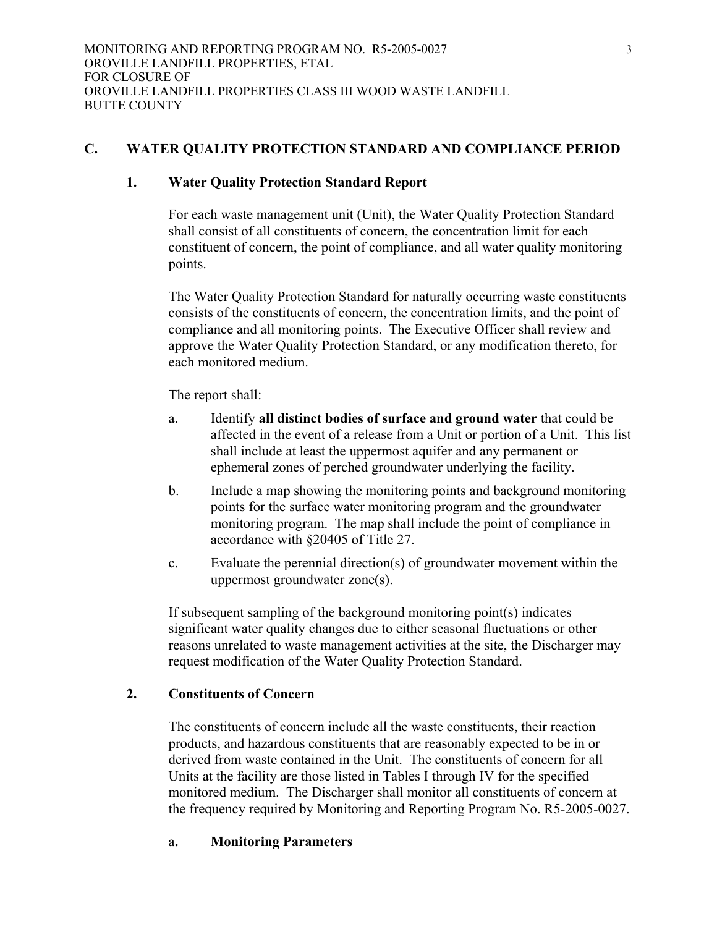# **C. WATER QUALITY PROTECTION STANDARD AND COMPLIANCE PERIOD**

## **1. Water Quality Protection Standard Report**

 For each waste management unit (Unit), the Water Quality Protection Standard shall consist of all constituents of concern, the concentration limit for each constituent of concern, the point of compliance, and all water quality monitoring points.

 The Water Quality Protection Standard for naturally occurring waste constituents consists of the constituents of concern, the concentration limits, and the point of compliance and all monitoring points. The Executive Officer shall review and approve the Water Quality Protection Standard, or any modification thereto, for each monitored medium.

The report shall:

- a. Identify **all distinct bodies of surface and ground water** that could be affected in the event of a release from a Unit or portion of a Unit. This list shall include at least the uppermost aquifer and any permanent or ephemeral zones of perched groundwater underlying the facility.
- b. Include a map showing the monitoring points and background monitoring points for the surface water monitoring program and the groundwater monitoring program. The map shall include the point of compliance in accordance with §20405 of Title 27.
- c. Evaluate the perennial direction(s) of groundwater movement within the uppermost groundwater zone(s).

 If subsequent sampling of the background monitoring point(s) indicates significant water quality changes due to either seasonal fluctuations or other reasons unrelated to waste management activities at the site, the Discharger may request modification of the Water Quality Protection Standard.

## **2. Constituents of Concern**

 The constituents of concern include all the waste constituents, their reaction products, and hazardous constituents that are reasonably expected to be in or derived from waste contained in the Unit. The constituents of concern for all Units at the facility are those listed in Tables I through IV for the specified monitored medium. The Discharger shall monitor all constituents of concern at the frequency required by Monitoring and Reporting Program No. R5-2005-0027.

## a**. Monitoring Parameters**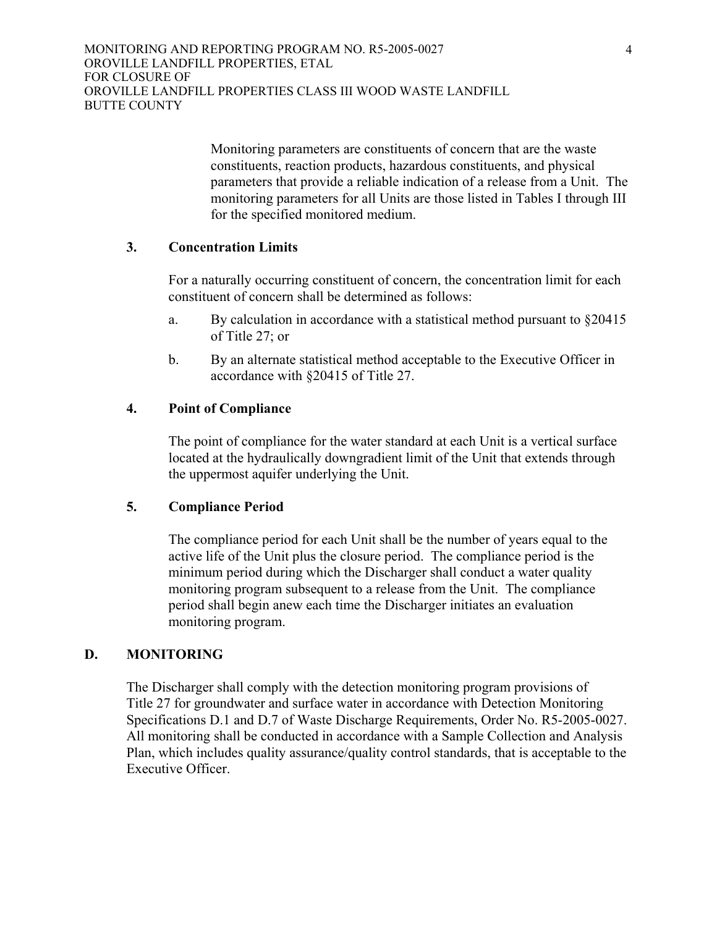Monitoring parameters are constituents of concern that are the waste constituents, reaction products, hazardous constituents, and physical parameters that provide a reliable indication of a release from a Unit. The monitoring parameters for all Units are those listed in Tables I through III for the specified monitored medium.

# **3. Concentration Limits**

 For a naturally occurring constituent of concern, the concentration limit for each constituent of concern shall be determined as follows:

- a. By calculation in accordance with a statistical method pursuant to §20415 of Title 27; or
- b. By an alternate statistical method acceptable to the Executive Officer in accordance with §20415 of Title 27.

# **4. Point of Compliance**

 The point of compliance for the water standard at each Unit is a vertical surface located at the hydraulically downgradient limit of the Unit that extends through the uppermost aquifer underlying the Unit.

## **5. Compliance Period**

 The compliance period for each Unit shall be the number of years equal to the active life of the Unit plus the closure period. The compliance period is the minimum period during which the Discharger shall conduct a water quality monitoring program subsequent to a release from the Unit. The compliance period shall begin anew each time the Discharger initiates an evaluation monitoring program.

# **D. MONITORING**

The Discharger shall comply with the detection monitoring program provisions of Title 27 for groundwater and surface water in accordance with Detection Monitoring Specifications D.1 and D.7 of Waste Discharge Requirements, Order No. R5-2005-0027. All monitoring shall be conducted in accordance with a Sample Collection and Analysis Plan, which includes quality assurance/quality control standards, that is acceptable to the Executive Officer.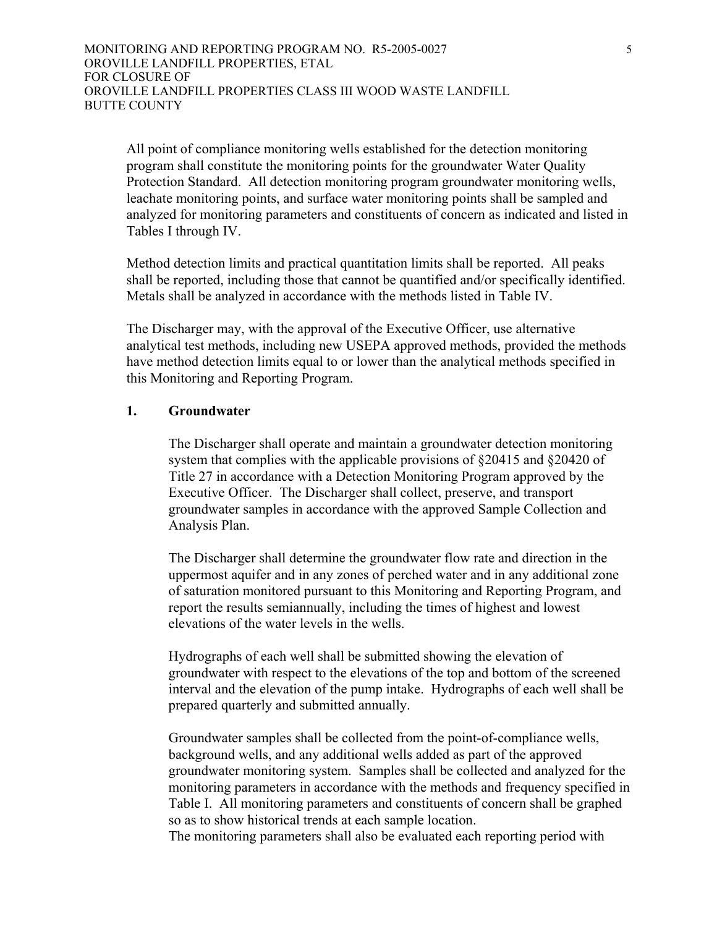All point of compliance monitoring wells established for the detection monitoring program shall constitute the monitoring points for the groundwater Water Quality Protection Standard. All detection monitoring program groundwater monitoring wells, leachate monitoring points, and surface water monitoring points shall be sampled and analyzed for monitoring parameters and constituents of concern as indicated and listed in Tables I through IV.

Method detection limits and practical quantitation limits shall be reported. All peaks shall be reported, including those that cannot be quantified and/or specifically identified. Metals shall be analyzed in accordance with the methods listed in Table IV.

The Discharger may, with the approval of the Executive Officer, use alternative analytical test methods, including new USEPA approved methods, provided the methods have method detection limits equal to or lower than the analytical methods specified in this Monitoring and Reporting Program.

## **1. Groundwater**

The Discharger shall operate and maintain a groundwater detection monitoring system that complies with the applicable provisions of §20415 and §20420 of Title 27 in accordance with a Detection Monitoring Program approved by the Executive Officer. The Discharger shall collect, preserve, and transport groundwater samples in accordance with the approved Sample Collection and Analysis Plan.

The Discharger shall determine the groundwater flow rate and direction in the uppermost aquifer and in any zones of perched water and in any additional zone of saturation monitored pursuant to this Monitoring and Reporting Program, and report the results semiannually, including the times of highest and lowest elevations of the water levels in the wells.

Hydrographs of each well shall be submitted showing the elevation of groundwater with respect to the elevations of the top and bottom of the screened interval and the elevation of the pump intake. Hydrographs of each well shall be prepared quarterly and submitted annually.

Groundwater samples shall be collected from the point-of-compliance wells, background wells, and any additional wells added as part of the approved groundwater monitoring system. Samples shall be collected and analyzed for the monitoring parameters in accordance with the methods and frequency specified in Table I. All monitoring parameters and constituents of concern shall be graphed so as to show historical trends at each sample location.

The monitoring parameters shall also be evaluated each reporting period with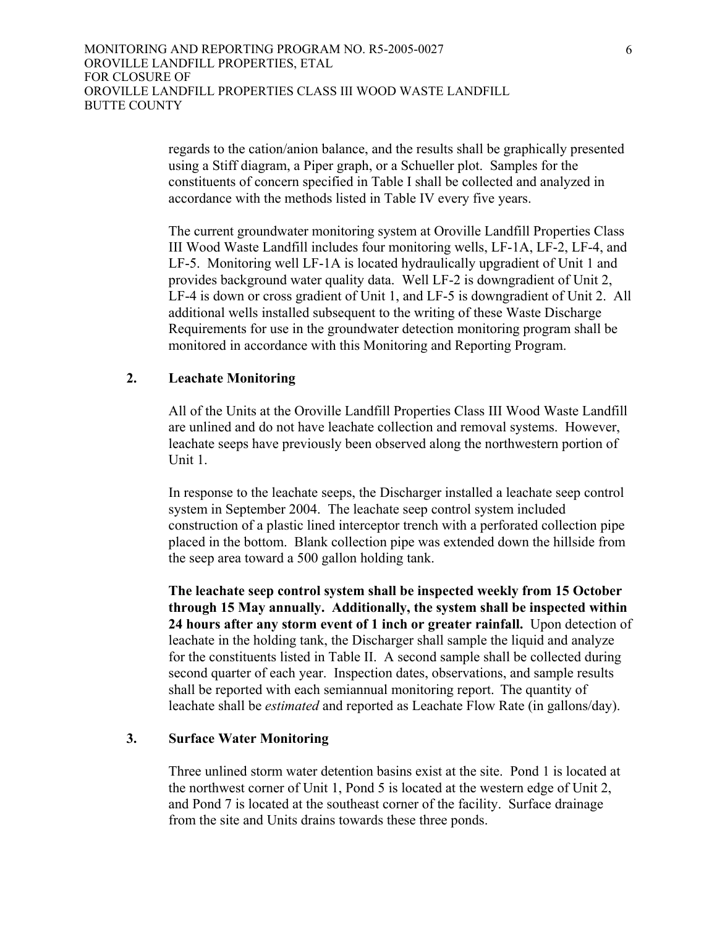regards to the cation/anion balance, and the results shall be graphically presented using a Stiff diagram, a Piper graph, or a Schueller plot. Samples for the constituents of concern specified in Table I shall be collected and analyzed in accordance with the methods listed in Table IV every five years.

The current groundwater monitoring system at Oroville Landfill Properties Class III Wood Waste Landfill includes four monitoring wells, LF-1A, LF-2, LF-4, and LF-5. Monitoring well LF-1A is located hydraulically upgradient of Unit 1 and provides background water quality data. Well LF-2 is downgradient of Unit 2, LF-4 is down or cross gradient of Unit 1, and LF-5 is downgradient of Unit 2. All additional wells installed subsequent to the writing of these Waste Discharge Requirements for use in the groundwater detection monitoring program shall be monitored in accordance with this Monitoring and Reporting Program.

## **2. Leachate Monitoring**

All of the Units at the Oroville Landfill Properties Class III Wood Waste Landfill are unlined and do not have leachate collection and removal systems. However, leachate seeps have previously been observed along the northwestern portion of Unit 1.

In response to the leachate seeps, the Discharger installed a leachate seep control system in September 2004. The leachate seep control system included construction of a plastic lined interceptor trench with a perforated collection pipe placed in the bottom. Blank collection pipe was extended down the hillside from the seep area toward a 500 gallon holding tank.

**The leachate seep control system shall be inspected weekly from 15 October through 15 May annually. Additionally, the system shall be inspected within 24 hours after any storm event of 1 inch or greater rainfall.** Upon detection of leachate in the holding tank, the Discharger shall sample the liquid and analyze for the constituents listed in Table II. A second sample shall be collected during second quarter of each year. Inspection dates, observations, and sample results shall be reported with each semiannual monitoring report. The quantity of leachate shall be *estimated* and reported as Leachate Flow Rate (in gallons/day).

#### **3. Surface Water Monitoring**

Three unlined storm water detention basins exist at the site. Pond 1 is located at the northwest corner of Unit 1, Pond 5 is located at the western edge of Unit 2, and Pond 7 is located at the southeast corner of the facility. Surface drainage from the site and Units drains towards these three ponds.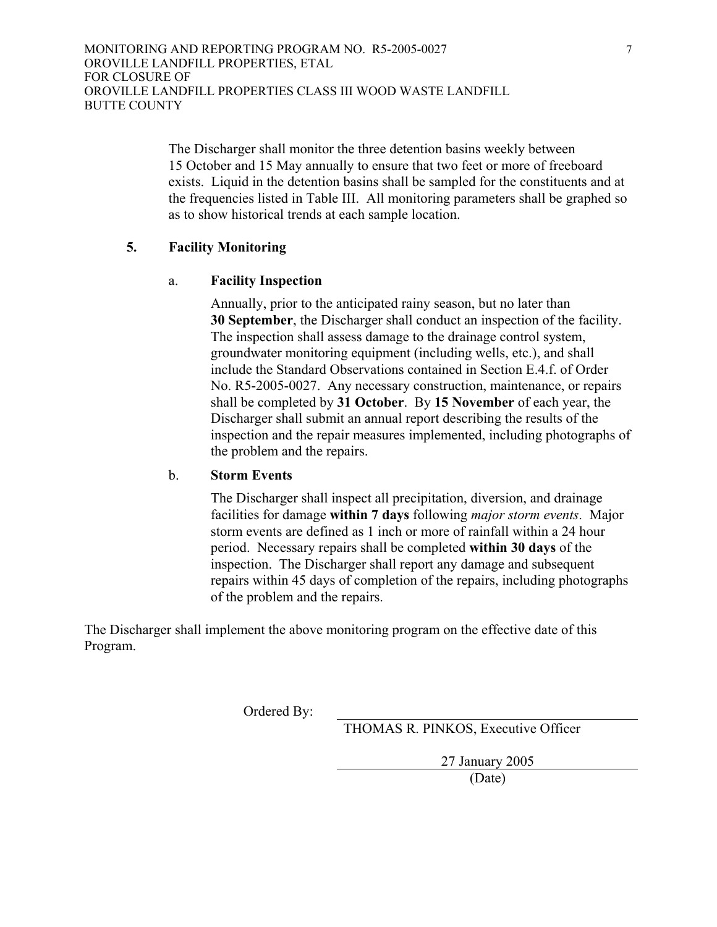The Discharger shall monitor the three detention basins weekly between 15 October and 15 May annually to ensure that two feet or more of freeboard exists. Liquid in the detention basins shall be sampled for the constituents and at the frequencies listed in Table III. All monitoring parameters shall be graphed so as to show historical trends at each sample location.

# **5. Facility Monitoring**

## a. **Facility Inspection**

Annually, prior to the anticipated rainy season, but no later than **30 September**, the Discharger shall conduct an inspection of the facility. The inspection shall assess damage to the drainage control system, groundwater monitoring equipment (including wells, etc.), and shall include the Standard Observations contained in Section E.4.f. of Order No. R5-2005-0027. Any necessary construction, maintenance, or repairs shall be completed by **31 October**. By **15 November** of each year, the Discharger shall submit an annual report describing the results of the inspection and the repair measures implemented, including photographs of the problem and the repairs.

## b. **Storm Events**

The Discharger shall inspect all precipitation, diversion, and drainage facilities for damage **within 7 days** following *major storm events*. Major storm events are defined as 1 inch or more of rainfall within a 24 hour period. Necessary repairs shall be completed **within 30 days** of the inspection. The Discharger shall report any damage and subsequent repairs within 45 days of completion of the repairs, including photographs of the problem and the repairs.

The Discharger shall implement the above monitoring program on the effective date of this Program.

Ordered By:

THOMAS R. PINKOS, Executive Officer

27 January 2005

(Date)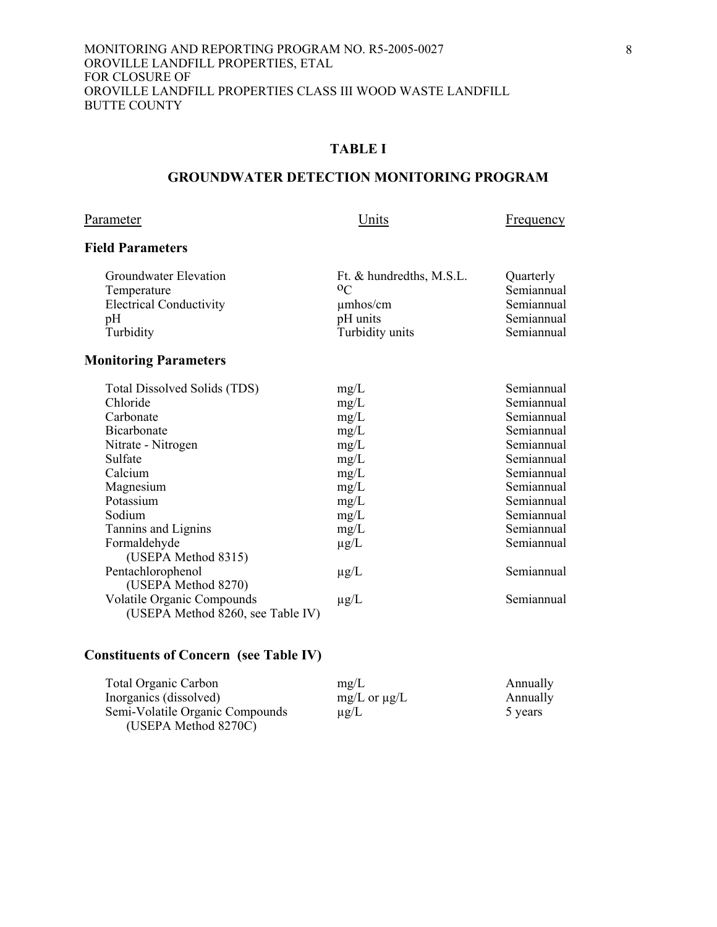## **GROUNDWATER DETECTION MONITORING PROGRAM**

# Parameter Units Erequency

## **Field Parameters**

|             | Groundwater Elevation          | Ft. & hundredths, M.S.L. | Quarterly  |
|-------------|--------------------------------|--------------------------|------------|
| Temperature |                                | 0 <sup>C</sup>           | Semiannual |
|             | <b>Electrical Conductivity</b> | $\mu$ mhos/cm            | Semiannual |
| pΗ          |                                | pH units                 | Semiannual |
| Turbidity   |                                | Turbidity units          | Semiannual |
|             |                                |                          |            |

# **Monitoring Parameters**

| Total Dissolved Solids (TDS)      | mg/L      | Semiannual |
|-----------------------------------|-----------|------------|
| Chloride                          | mg/L      | Semiannual |
| Carbonate                         | mg/L      | Semiannual |
| Bicarbonate                       | mg/L      | Semiannual |
| Nitrate - Nitrogen                | mg/L      | Semiannual |
| Sulfate                           | mg/L      | Semiannual |
| Calcium                           | mg/L      | Semiannual |
| Magnesium                         | mg/L      | Semiannual |
| Potassium                         | mg/L      | Semiannual |
| Sodium                            | mg/L      | Semiannual |
| Tannins and Lignins               | mg/L      | Semiannual |
| Formaldehyde                      | $\mu$ g/L | Semiannual |
| (USEPA Method 8315)               |           |            |
| Pentachlorophenol                 | $\mu$ g/L | Semiannual |
| (USEPA Method 8270)               |           |            |
| <b>Volatile Organic Compounds</b> | $\mu$ g/L | Semiannual |
| (USEPA Method 8260, see Table IV) |           |            |
|                                   |           |            |

# **Constituents of Concern (see Table IV)**

| <b>Total Organic Carbon</b>     | mg/L                | Annually |
|---------------------------------|---------------------|----------|
| Inorganics (dissolved)          | $mg/L$ or $\mu g/L$ | Annually |
| Semi-Volatile Organic Compounds | $\mu$ g/L           | 5 years  |
| (USEPA Method 8270C)            |                     |          |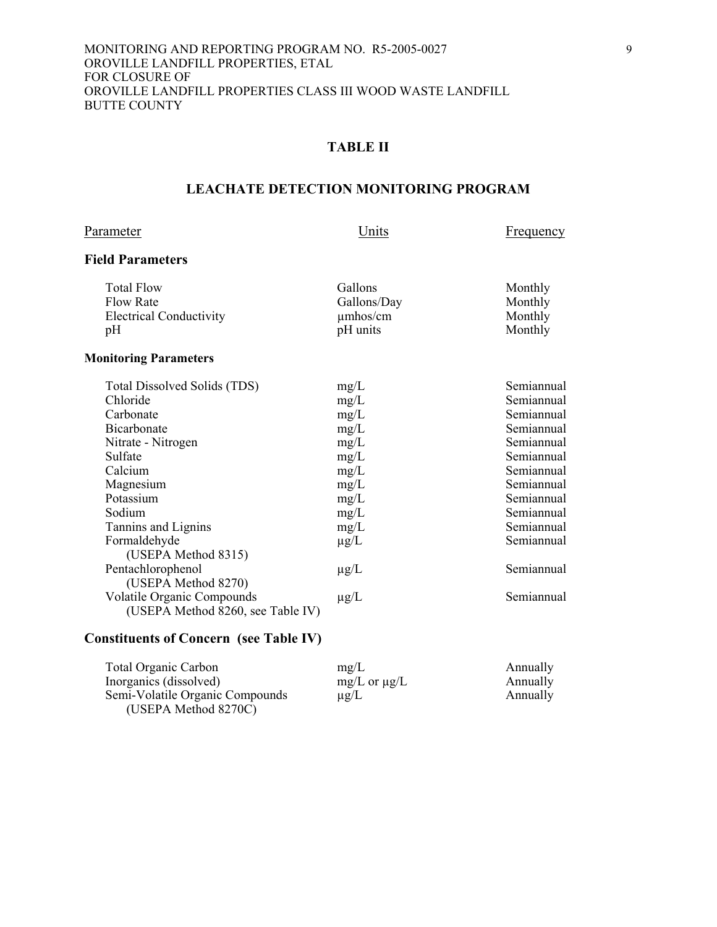## **TABLE II**

## **LEACHATE DETECTION MONITORING PROGRAM**

## Parameter **Example 2** Units Exequency

## **Field Parameters**

| <b>Total Flow</b><br><b>Flow Rate</b><br><b>Electrical Conductivity</b><br>pH                                                                                                                                                                                                                                                            | Gallons<br>Gallons/Day<br>$\mu$ mhos/cm<br>pH units                                                                         | Monthly<br>Monthly<br>Monthly<br>Monthly                                                                                                                                                         |
|------------------------------------------------------------------------------------------------------------------------------------------------------------------------------------------------------------------------------------------------------------------------------------------------------------------------------------------|-----------------------------------------------------------------------------------------------------------------------------|--------------------------------------------------------------------------------------------------------------------------------------------------------------------------------------------------|
| <b>Monitoring Parameters</b>                                                                                                                                                                                                                                                                                                             |                                                                                                                             |                                                                                                                                                                                                  |
| Total Dissolved Solids (TDS)<br>Chloride<br>Carbonate<br>Bicarbonate<br>Nitrate - Nitrogen<br>Sulfate<br>Calcium<br>Magnesium<br>Potassium<br>Sodium<br>Tannins and Lignins<br>Formaldehyde<br>(USEPA Method 8315)<br>Pentachlorophenol<br>(USEPA Method 8270)<br><b>Volatile Organic Compounds</b><br>(USEPA Method 8260, see Table IV) | mg/L<br>mg/L<br>mg/L<br>mg/L<br>mg/L<br>mg/L<br>mg/L<br>mg/L<br>mg/L<br>mg/L<br>mg/L<br>$\mu$ g/L<br>$\mu$ g/L<br>$\mu$ g/L | Semiannual<br>Semiannual<br>Semiannual<br>Semiannual<br>Semiannual<br>Semiannual<br>Semiannual<br>Semiannual<br>Semiannual<br>Semiannual<br>Semiannual<br>Semiannual<br>Semiannual<br>Semiannual |
|                                                                                                                                                                                                                                                                                                                                          |                                                                                                                             |                                                                                                                                                                                                  |

# **Constituents of Concern (see Table IV)**

| <b>Total Organic Carbon</b>     | mg/L                | Annually |
|---------------------------------|---------------------|----------|
| Inorganics (dissolved)          | $mg/L$ or $\mu g/L$ | Annually |
| Semi-Volatile Organic Compounds | $\mu$ g/L           | Annually |
| (USEPA Method 8270C)            |                     |          |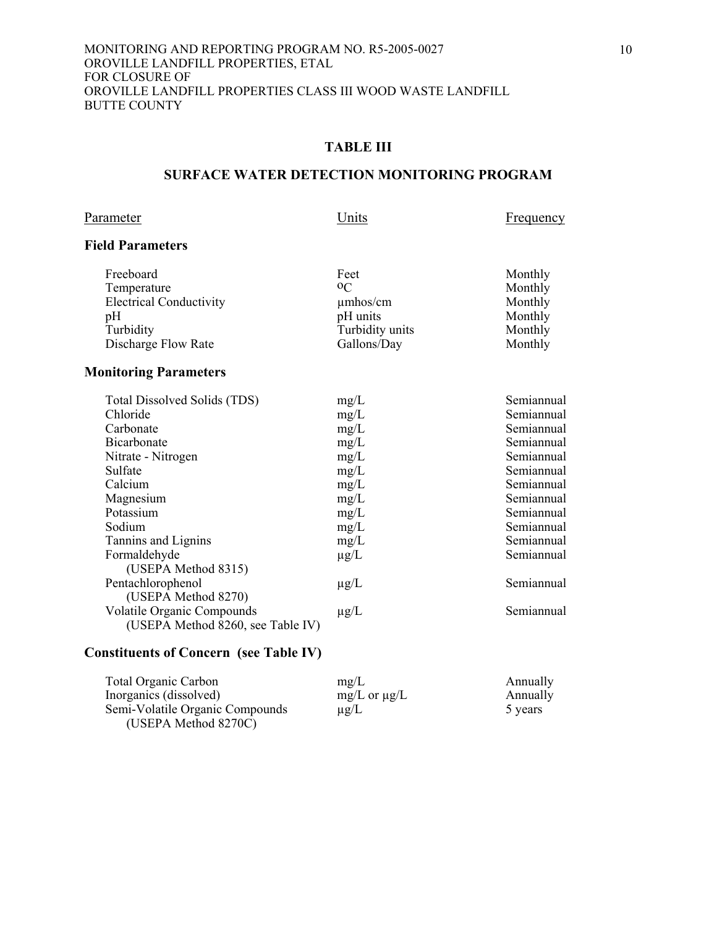#### **TABLE III**

## **SURFACE WATER DETECTION MONITORING PROGRAM**

|  | Parameter |
|--|-----------|
|--|-----------|

Units Frequency

#### **Field Parameters**

| Freeboard                      | Feet            | Monthly    |
|--------------------------------|-----------------|------------|
| Temperature                    | $^{0}C$         | Monthly    |
| <b>Electrical Conductivity</b> | $\mu$ mhos/cm   | Monthly    |
| pH                             | pH units        | Monthly    |
| Turbidity                      | Turbidity units | Monthly    |
| Discharge Flow Rate            | Gallons/Day     | Monthly    |
| <b>Monitoring Parameters</b>   |                 |            |
| Total Dissolved Solids (TDS)   | mg/L            | Semiannual |
| Chloride                       | mg/L            | Semiannual |
| Carbonate                      | mg/L            | Semiannual |
| <b>Bicarbonate</b>             | mg/L            | Semiannual |
| Nitrate - Nitrogen             | mg/L            | Semiannual |
| Sulfate                        | mg/L            | Semiannual |
| Calcium                        | mg/L            | Semiannual |
| Magnesium                      | mg/L            | Semiannual |
| Potassium                      | mg/L            | Semiannual |
| Sodium                         | mg/L            | Semiannual |

Tannins and Lignins mg/L Semiannual<br>Formaldehyde ug/L Semiannual Formaldehyde  $\mu g/L$  (USEPA Method 8315) Pentachlorophenol  $\mu$ g/L Semiannual (USEPA Method 8270) Volatile Organic Compounds  $\mu$ g/L Semiannual (USEPA Method 8260, see Table IV)

## **Constituents of Concern (see Table IV)**

| <b>Total Organic Carbon</b>     | mg/L                | Annually |
|---------------------------------|---------------------|----------|
| Inorganics (dissolved)          | $mg/L$ or $\mu g/L$ | Annually |
| Semi-Volatile Organic Compounds | $\mu$ g/L           | 5 years  |
| (USEPA Method 8270C)            |                     |          |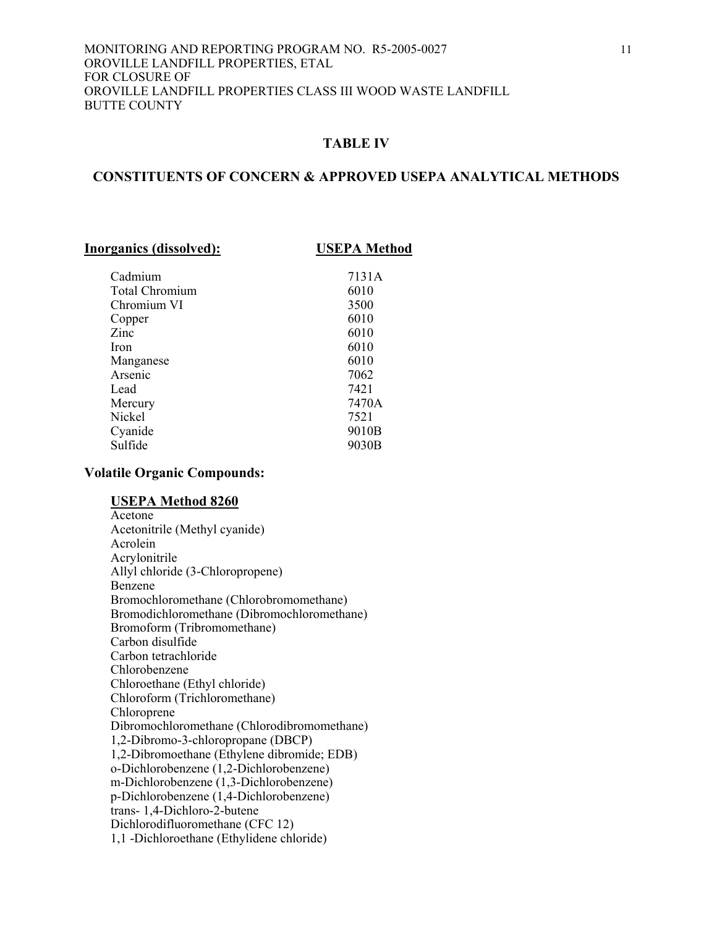## **CONSTITUENTS OF CONCERN & APPROVED USEPA ANALYTICAL METHODS**

**Inorganics (dissolved): USEPA Method**

I

| Cadmium               | 7131A             |
|-----------------------|-------------------|
| <b>Total Chromium</b> | 6010              |
| Chromium VI           | 3500              |
| Copper                | 6010              |
| Zinc                  | 6010              |
| <b>Iron</b>           | 6010              |
| Manganese             | 6010              |
| Arsenic               | 7062              |
| Lead                  | 7421              |
| Mercury               | 7470A             |
| Nickel                | 7521              |
| Cyanide               | 9010 <sub>B</sub> |
| Sulfide               | 9030B             |

## **Volatile Organic Compounds:**

#### **USEPA Method 8260**

 Acetone Acetonitrile (Methyl cyanide) Acrolein Acrylonitrile Allyl chloride (3-Chloropropene) Benzene Bromochloromethane (Chlorobromomethane) Bromodichloromethane (Dibromochloromethane) Bromoform (Tribromomethane) Carbon disulfide Carbon tetrachloride Chlorobenzene Chloroethane (Ethyl chloride) Chloroform (Trichloromethane) Chloroprene Dibromochloromethane (Chlorodibromomethane) 1,2-Dibromo-3-chloropropane (DBCP) 1,2-Dibromoethane (Ethylene dibromide; EDB) o-Dichlorobenzene (1,2-Dichlorobenzene) m-Dichlorobenzene (1,3-Dichlorobenzene) p-Dichlorobenzene (1,4-Dichlorobenzene) trans- 1,4-Dichloro-2-butene Dichlorodifluoromethane (CFC 12) 1,1 -Dichloroethane (Ethylidene chloride)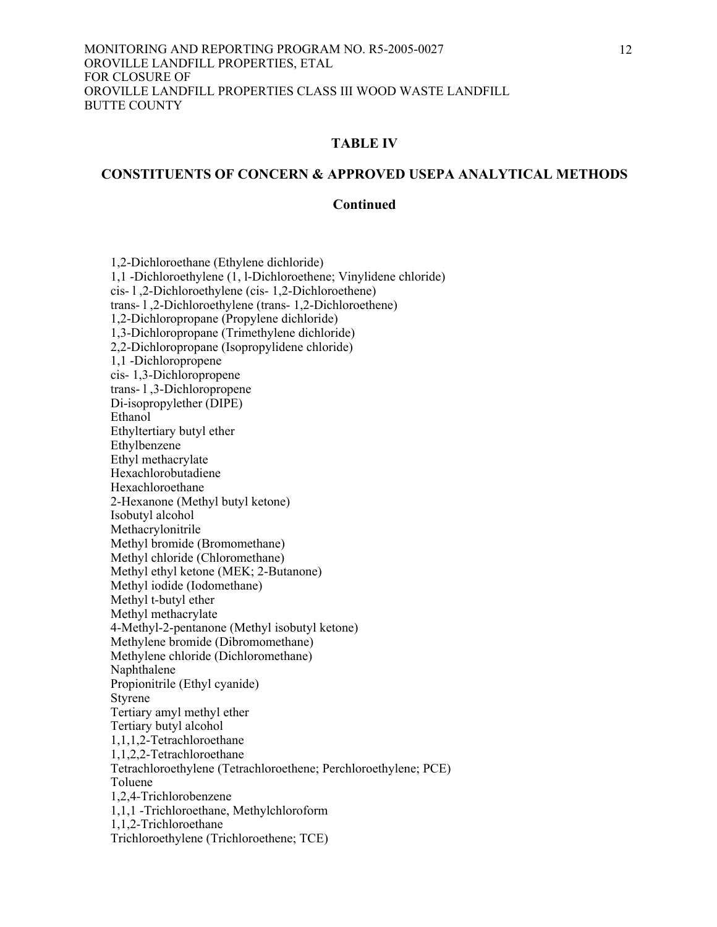#### **CONSTITUENTS OF CONCERN & APPROVED USEPA ANALYTICAL METHODS**

#### **Continued**

 1,2-Dichloroethane (Ethylene dichloride) 1,1 -Dichloroethylene (1, l-Dichloroethene; Vinylidene chloride) cis- l ,2-Dichloroethylene (cis- 1,2-Dichloroethene) trans- l ,2-Dichloroethylene (trans- 1,2-Dichloroethene) 1,2-Dichloropropane (Propylene dichloride) 1,3-Dichloropropane (Trimethylene dichloride) 2,2-Dichloropropane (Isopropylidene chloride) 1,1 -Dichloropropene cis- 1,3-Dichloropropene trans- l ,3-Dichloropropene Di-isopropylether (DIPE) Ethanol Ethyltertiary butyl ether Ethylbenzene Ethyl methacrylate Hexachlorobutadiene Hexachloroethane 2-Hexanone (Methyl butyl ketone) Isobutyl alcohol Methacrylonitrile Methyl bromide (Bromomethane) Methyl chloride (Chloromethane) Methyl ethyl ketone (MEK; 2-Butanone) Methyl iodide (Iodomethane) Methyl t-butyl ether Methyl methacrylate 4-Methyl-2-pentanone (Methyl isobutyl ketone) Methylene bromide (Dibromomethane) Methylene chloride (Dichloromethane) Naphthalene Propionitrile (Ethyl cyanide) Styrene Tertiary amyl methyl ether Tertiary butyl alcohol 1,1,1,2-Tetrachloroethane 1,1,2,2-Tetrachloroethane Tetrachloroethylene (Tetrachloroethene; Perchloroethylene; PCE) Toluene 1,2,4-Trichlorobenzene 1,1,1 -Trichloroethane, Methylchloroform 1,1,2-Trichloroethane Trichloroethylene (Trichloroethene; TCE)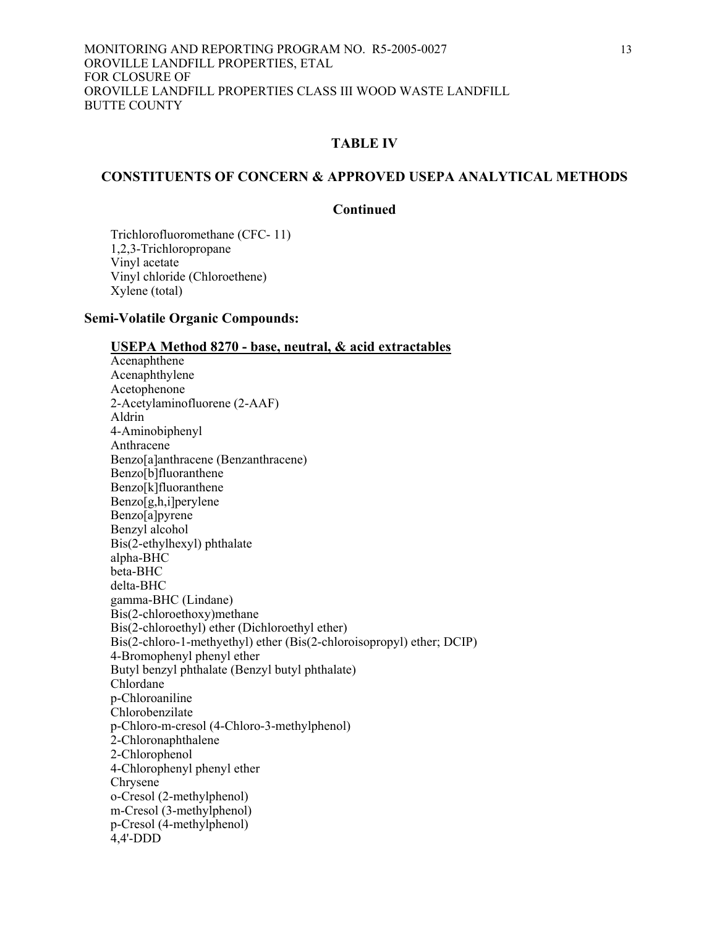#### **CONSTITUENTS OF CONCERN & APPROVED USEPA ANALYTICAL METHODS**

### **Continued**

 Trichlorofluoromethane (CFC- 11) 1,2,3-Trichloropropane Vinyl acetate Vinyl chloride (Chloroethene) Xylene (total)

#### **Semi-Volatile Organic Compounds:**

#### **USEPA Method 8270 - base, neutral, & acid extractables**

 Acenaphthene Acenaphthylene Acetophenone 2-Acetylaminofluorene (2-AAF) Aldrin 4-Aminobiphenyl Anthracene Benzo[a]anthracene (Benzanthracene) Benzo[b]fluoranthene Benzo[k]fluoranthene Benzo[g,h,i]perylene Benzo[a]pyrene Benzyl alcohol Bis(2-ethylhexyl) phthalate alpha-BHC beta-BHC delta-BHC gamma-BHC (Lindane) Bis(2-chloroethoxy)methane Bis(2-chloroethyl) ether (Dichloroethyl ether) Bis(2-chloro-1-methyethyl) ether (Bis(2-chloroisopropyl) ether; DCIP) 4-Bromophenyl phenyl ether Butyl benzyl phthalate (Benzyl butyl phthalate) Chlordane p-Chloroaniline Chlorobenzilate p-Chloro-m-cresol (4-Chloro-3-methylphenol) 2-Chloronaphthalene 2-Chlorophenol 4-Chlorophenyl phenyl ether Chrysene o-Cresol (2-methylphenol) m-Cresol (3-methylphenol) p-Cresol (4-methylphenol) 4,4'-DDD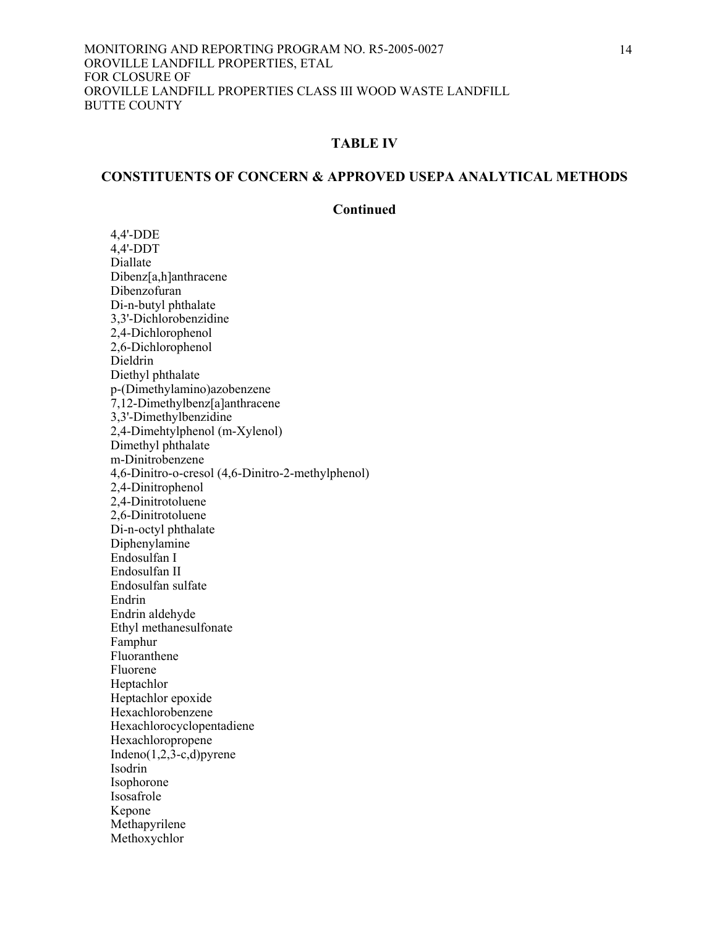## **CONSTITUENTS OF CONCERN & APPROVED USEPA ANALYTICAL METHODS**

#### **Continued**

4,4'-DDE 4,4'-DDT Diallate Dibenz[a,h]anthracene Dibenzofuran Di-n-butyl phthalate 3,3'-Dichlorobenzidine 2,4-Dichlorophenol 2,6-Dichlorophenol Dieldrin Diethyl phthalate p-(Dimethylamino)azobenzene 7,12-Dimethylbenz[a]anthracene 3,3'-Dimethylbenzidine 2,4-Dimehtylphenol (m-Xylenol) Dimethyl phthalate m-Dinitrobenzene 4,6-Dinitro-o-cresol (4,6-Dinitro-2-methylphenol) 2,4-Dinitrophenol 2,4-Dinitrotoluene 2,6-Dinitrotoluene Di-n-octyl phthalate Diphenylamine Endosulfan I Endosulfan II Endosulfan sulfate Endrin Endrin aldehyde Ethyl methanesulfonate Famphur Fluoranthene Fluorene Heptachlor Heptachlor epoxide Hexachlorobenzene Hexachlorocyclopentadiene Hexachloropropene Indeno $(1,2,3-c,d)$  pyrene Isodrin Isophorone Isosafrole Kepone Methapyrilene Methoxychlor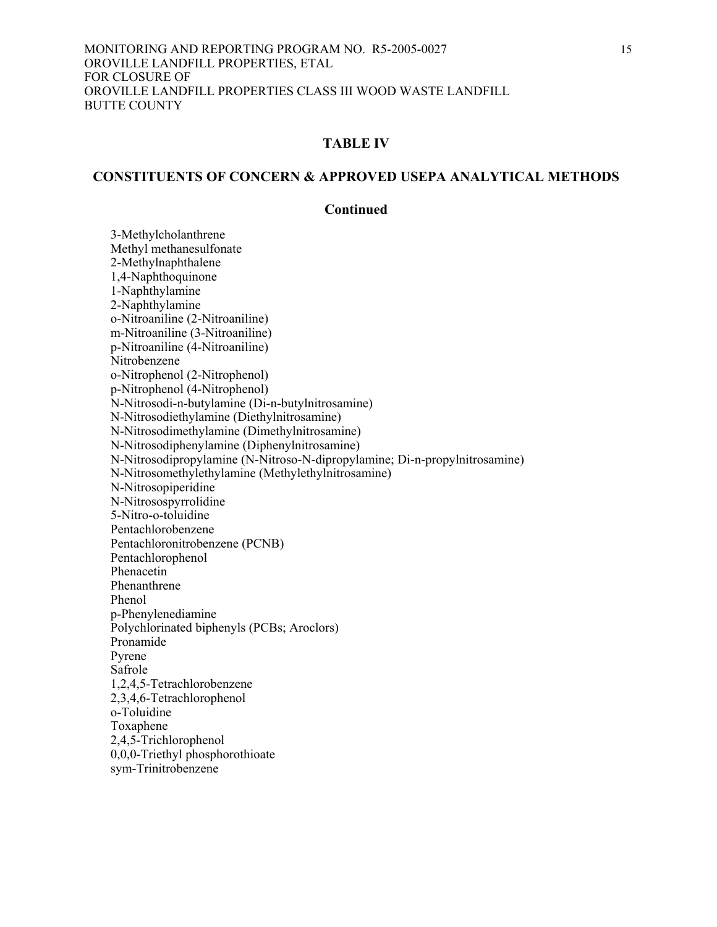#### **CONSTITUENTS OF CONCERN & APPROVED USEPA ANALYTICAL METHODS**

### **Continued**

 3-Methylcholanthrene Methyl methanesulfonate 2-Methylnaphthalene 1,4-Naphthoquinone 1-Naphthylamine 2-Naphthylamine o-Nitroaniline (2-Nitroaniline) m-Nitroaniline (3-Nitroaniline) p-Nitroaniline (4-Nitroaniline) Nitrobenzene o-Nitrophenol (2-Nitrophenol) p-Nitrophenol (4-Nitrophenol) N-Nitrosodi-n-butylamine (Di-n-butylnitrosamine) N-Nitrosodiethylamine (Diethylnitrosamine) N-Nitrosodimethylamine (Dimethylnitrosamine) N-Nitrosodiphenylamine (Diphenylnitrosamine) N-Nitrosodipropylamine (N-Nitroso-N-dipropylamine; Di-n-propylnitrosamine) N-Nitrosomethylethylamine (Methylethylnitrosamine) N-Nitrosopiperidine N-Nitrosospyrrolidine 5-Nitro-o-toluidine Pentachlorobenzene Pentachloronitrobenzene (PCNB) Pentachlorophenol Phenacetin Phenanthrene Phenol p-Phenylenediamine Polychlorinated biphenyls (PCBs; Aroclors) Pronamide Pyrene Safrole 1,2,4,5-Tetrachlorobenzene 2,3,4,6-Tetrachlorophenol o-Toluidine Toxaphene 2,4,5-Trichlorophenol 0,0,0-Triethyl phosphorothioate sym-Trinitrobenzene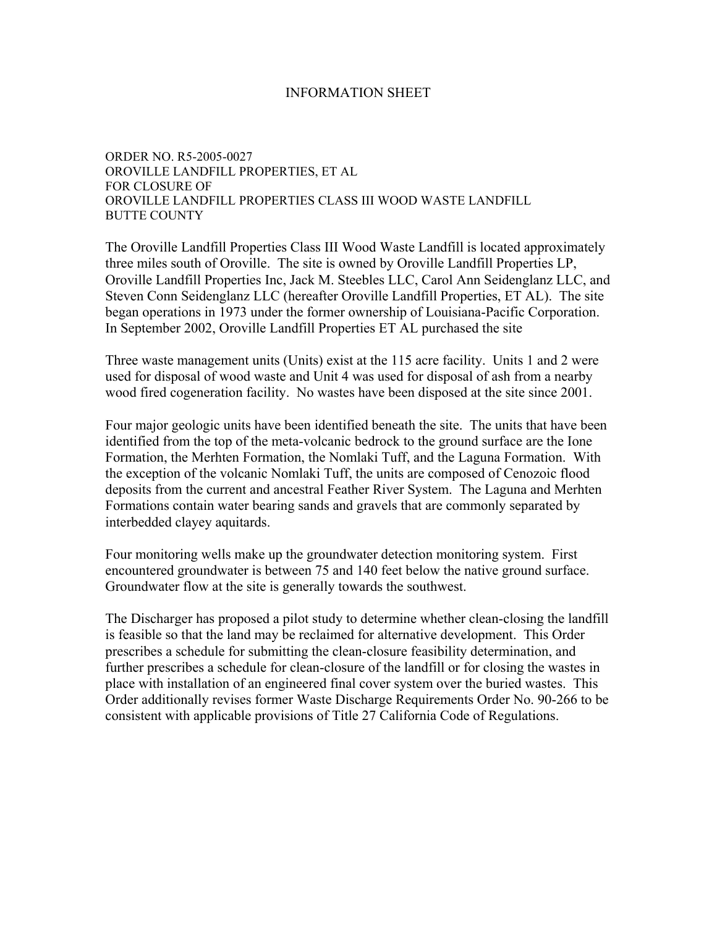## INFORMATION SHEET

ORDER NO. R5-2005-0027 OROVILLE LANDFILL PROPERTIES, ET AL FOR CLOSURE OF OROVILLE LANDFILL PROPERTIES CLASS III WOOD WASTE LANDFILL BUTTE COUNTY

The Oroville Landfill Properties Class III Wood Waste Landfill is located approximately three miles south of Oroville. The site is owned by Oroville Landfill Properties LP, Oroville Landfill Properties Inc, Jack M. Steebles LLC, Carol Ann Seidenglanz LLC, and Steven Conn Seidenglanz LLC (hereafter Oroville Landfill Properties, ET AL). The site began operations in 1973 under the former ownership of Louisiana-Pacific Corporation. In September 2002, Oroville Landfill Properties ET AL purchased the site

Three waste management units (Units) exist at the 115 acre facility. Units 1 and 2 were used for disposal of wood waste and Unit 4 was used for disposal of ash from a nearby wood fired cogeneration facility. No wastes have been disposed at the site since 2001.

Four major geologic units have been identified beneath the site. The units that have been identified from the top of the meta-volcanic bedrock to the ground surface are the Ione Formation, the Merhten Formation, the Nomlaki Tuff, and the Laguna Formation. With the exception of the volcanic Nomlaki Tuff, the units are composed of Cenozoic flood deposits from the current and ancestral Feather River System. The Laguna and Merhten Formations contain water bearing sands and gravels that are commonly separated by interbedded clayey aquitards.

Four monitoring wells make up the groundwater detection monitoring system. First encountered groundwater is between 75 and 140 feet below the native ground surface. Groundwater flow at the site is generally towards the southwest.

The Discharger has proposed a pilot study to determine whether clean-closing the landfill is feasible so that the land may be reclaimed for alternative development. This Order prescribes a schedule for submitting the clean-closure feasibility determination, and further prescribes a schedule for clean-closure of the landfill or for closing the wastes in place with installation of an engineered final cover system over the buried wastes. This Order additionally revises former Waste Discharge Requirements Order No. 90-266 to be consistent with applicable provisions of Title 27 California Code of Regulations.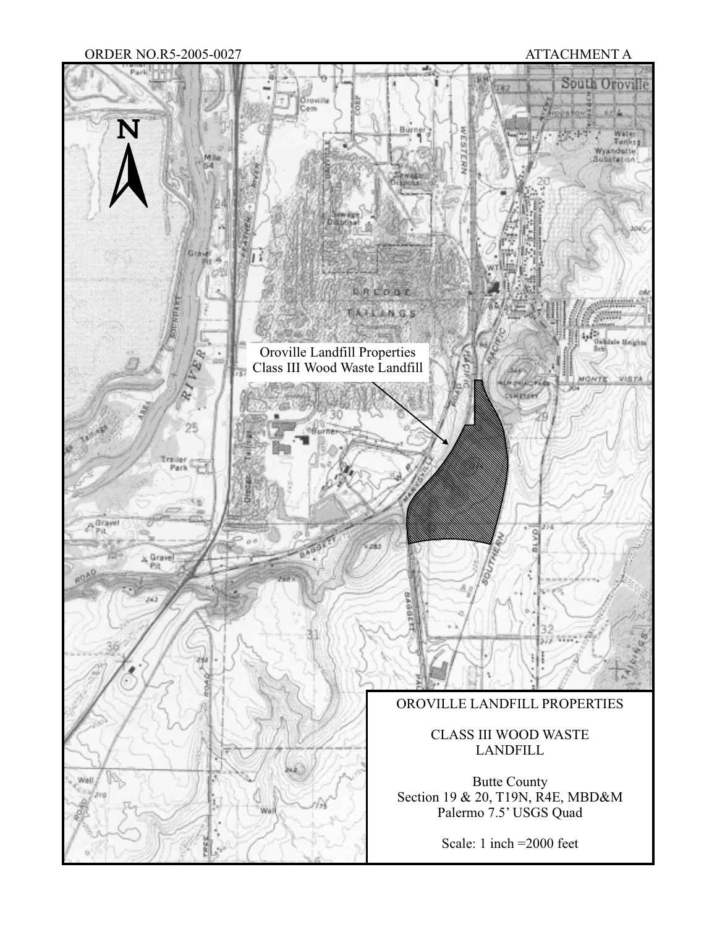## ORDER NO.R5-2005-0027 ATTACHMENT A